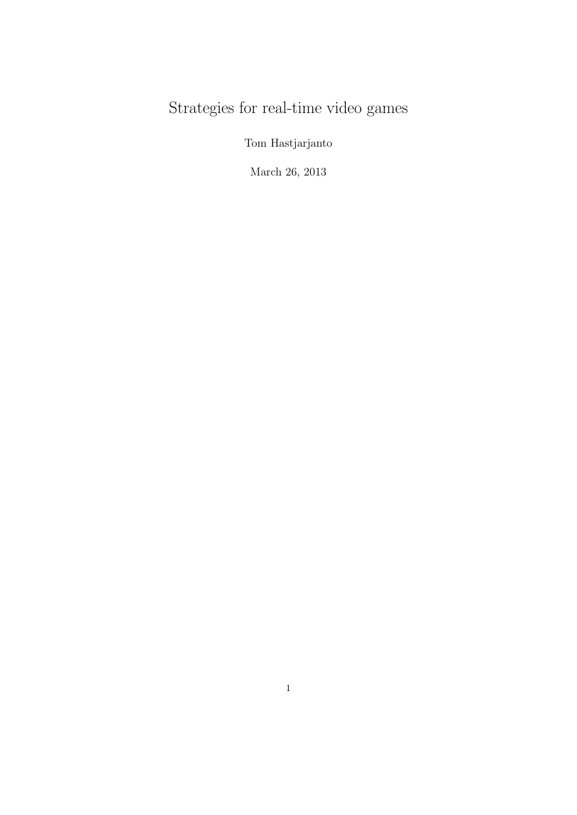# Strategies for real-time video games

Tom Hastjarjanto

March 26, 2013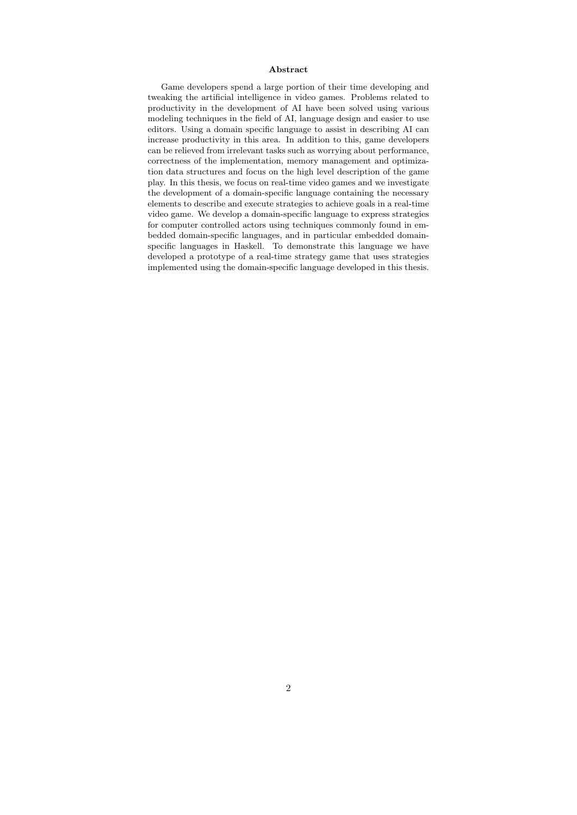#### Abstract

Game developers spend a large portion of their time developing and tweaking the artificial intelligence in video games. Problems related to productivity in the development of AI have been solved using various modeling techniques in the field of AI, language design and easier to use editors. Using a domain specific language to assist in describing AI can increase productivity in this area. In addition to this, game developers can be relieved from irrelevant tasks such as worrying about performance, correctness of the implementation, memory management and optimization data structures and focus on the high level description of the game play. In this thesis, we focus on real-time video games and we investigate the development of a domain-specific language containing the necessary elements to describe and execute strategies to achieve goals in a real-time video game. We develop a domain-specific language to express strategies for computer controlled actors using techniques commonly found in embedded domain-specific languages, and in particular embedded domainspecific languages in Haskell. To demonstrate this language we have developed a prototype of a real-time strategy game that uses strategies implemented using the domain-specific language developed in this thesis.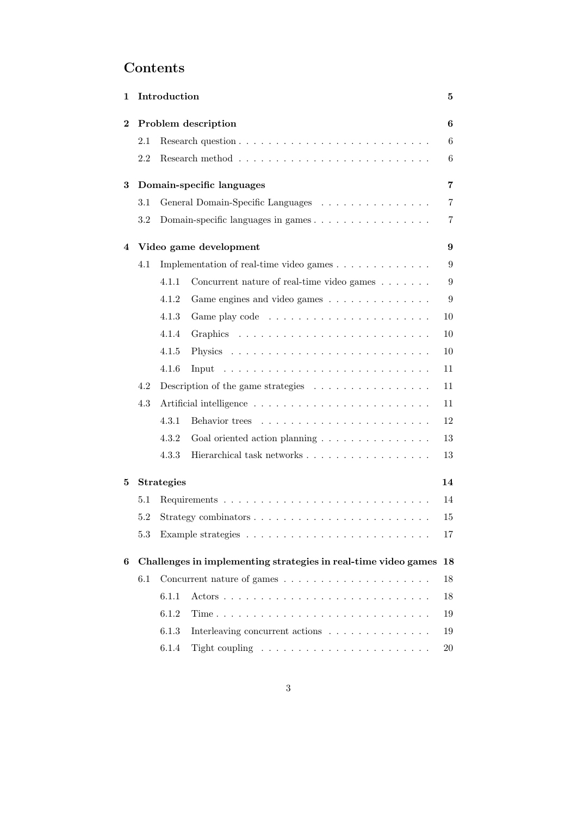# Contents

| 1 | Introduction<br>5         |                                                                              |                                                                                                                                                                                                                                |                |  |  |  |
|---|---------------------------|------------------------------------------------------------------------------|--------------------------------------------------------------------------------------------------------------------------------------------------------------------------------------------------------------------------------|----------------|--|--|--|
| 2 | Problem description       |                                                                              |                                                                                                                                                                                                                                |                |  |  |  |
|   | 2.1                       |                                                                              |                                                                                                                                                                                                                                | 6              |  |  |  |
|   | 2.2                       |                                                                              |                                                                                                                                                                                                                                | 6              |  |  |  |
| 3 | Domain-specific languages |                                                                              |                                                                                                                                                                                                                                |                |  |  |  |
|   | 3.1                       |                                                                              | General Domain-Specific Languages                                                                                                                                                                                              | $\overline{7}$ |  |  |  |
|   | 3.2                       |                                                                              | Domain-specific languages in games                                                                                                                                                                                             | 7              |  |  |  |
| 4 |                           | Video game development                                                       |                                                                                                                                                                                                                                |                |  |  |  |
|   | 4.1                       |                                                                              | Implementation of real-time video games                                                                                                                                                                                        | 9              |  |  |  |
|   |                           | 4.1.1                                                                        | Concurrent nature of real-time video games                                                                                                                                                                                     | 9              |  |  |  |
|   |                           | 4.1.2                                                                        | Game engines and video games                                                                                                                                                                                                   | 9              |  |  |  |
|   |                           | 4.1.3                                                                        |                                                                                                                                                                                                                                | 10             |  |  |  |
|   |                           | 4.1.4                                                                        |                                                                                                                                                                                                                                | 10             |  |  |  |
|   |                           | 4.1.5                                                                        |                                                                                                                                                                                                                                | 10             |  |  |  |
|   |                           | 4.1.6                                                                        | Input descriptions and containing the set of the set of the set of the set of the set of the set of the set of the set of the set of the set of the set of the set of the set of the set of the set of the set of the set of t | 11             |  |  |  |
|   | 4.2                       | Description of the game strategies $\ldots \ldots \ldots \ldots \ldots$      |                                                                                                                                                                                                                                |                |  |  |  |
|   | 4.3                       |                                                                              |                                                                                                                                                                                                                                | 11             |  |  |  |
|   |                           | 4.3.1                                                                        |                                                                                                                                                                                                                                | 12             |  |  |  |
|   |                           | 4.3.2                                                                        | Goal oriented action planning                                                                                                                                                                                                  | 13             |  |  |  |
|   |                           | 4.3.3                                                                        | Hierarchical task networks                                                                                                                                                                                                     | 13             |  |  |  |
| 5 |                           | <b>Strategies</b><br>14                                                      |                                                                                                                                                                                                                                |                |  |  |  |
|   | $5.1\,$                   | 14                                                                           |                                                                                                                                                                                                                                |                |  |  |  |
|   | 5.2                       | Strategy combinators $\dots \dots \dots \dots \dots \dots \dots \dots \dots$ |                                                                                                                                                                                                                                |                |  |  |  |
|   | 5.3                       |                                                                              |                                                                                                                                                                                                                                | 17             |  |  |  |
| 6 |                           | Challenges in implementing strategies in real-time video games<br>18         |                                                                                                                                                                                                                                |                |  |  |  |
|   | 6.1                       |                                                                              | Concurrent nature of games $\ldots \ldots \ldots \ldots \ldots \ldots \ldots$                                                                                                                                                  | 18             |  |  |  |
|   |                           | 6.1.1                                                                        |                                                                                                                                                                                                                                | 18             |  |  |  |
|   |                           | 6.1.2                                                                        |                                                                                                                                                                                                                                | 19             |  |  |  |
|   |                           | 6.1.3                                                                        | Interleaving concurrent actions                                                                                                                                                                                                | 19             |  |  |  |
|   |                           | 6.1.4                                                                        |                                                                                                                                                                                                                                | 20             |  |  |  |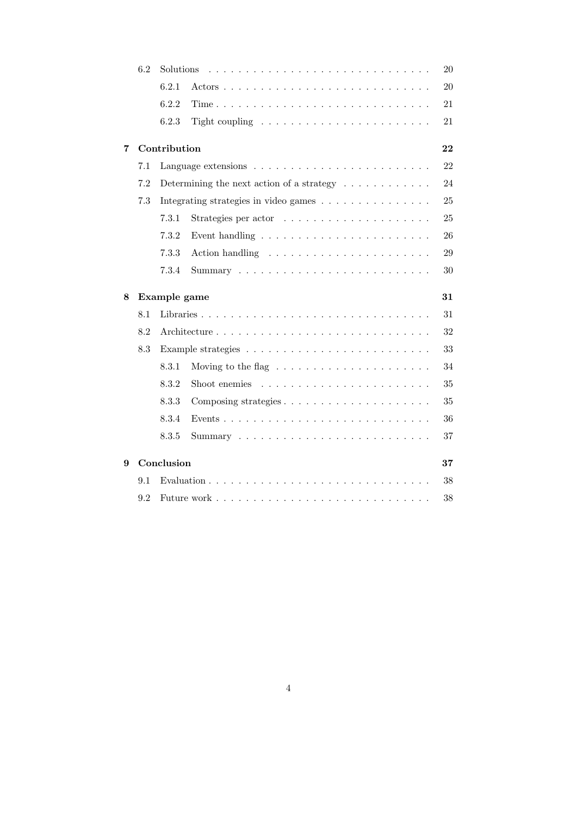|   | 6.2                | Solutions                                                               |                                                                       |    |  |  |  |  |
|---|--------------------|-------------------------------------------------------------------------|-----------------------------------------------------------------------|----|--|--|--|--|
|   |                    | 6.2.1                                                                   |                                                                       | 20 |  |  |  |  |
|   |                    | 6.2.2                                                                   |                                                                       | 21 |  |  |  |  |
|   |                    | 6.2.3                                                                   | Tight coupling $\ldots \ldots \ldots \ldots \ldots \ldots \ldots$     | 21 |  |  |  |  |
| 7 |                    | Contribution<br>22                                                      |                                                                       |    |  |  |  |  |
|   | 7.1                |                                                                         |                                                                       | 22 |  |  |  |  |
|   | 7.2                | Determining the next action of a strategy $\ldots \ldots \ldots \ldots$ |                                                                       |    |  |  |  |  |
|   | 7.3                |                                                                         | Integrating strategies in video games                                 | 25 |  |  |  |  |
|   |                    | 7.3.1                                                                   |                                                                       | 25 |  |  |  |  |
|   |                    | 7.3.2                                                                   |                                                                       | 26 |  |  |  |  |
|   |                    | 7.3.3                                                                   |                                                                       | 29 |  |  |  |  |
|   |                    | 7.3.4                                                                   |                                                                       | 30 |  |  |  |  |
| 8 | 31<br>Example game |                                                                         |                                                                       |    |  |  |  |  |
|   | 8.1                |                                                                         |                                                                       | 31 |  |  |  |  |
|   | 8.2                |                                                                         |                                                                       |    |  |  |  |  |
|   | 8.3                |                                                                         |                                                                       | 33 |  |  |  |  |
|   |                    | 8.3.1                                                                   | Moving to the flag $\ldots \ldots \ldots \ldots \ldots \ldots \ldots$ | 34 |  |  |  |  |
|   |                    | 8.3.2                                                                   | Shoot enemies $\dots \dots \dots \dots \dots \dots \dots \dots \dots$ | 35 |  |  |  |  |
|   |                    | 8.3.3                                                                   |                                                                       | 35 |  |  |  |  |
|   |                    | 8.3.4                                                                   |                                                                       | 36 |  |  |  |  |
|   |                    | 8.3.5                                                                   |                                                                       | 37 |  |  |  |  |
| 9 | Conclusion<br>37   |                                                                         |                                                                       |    |  |  |  |  |
|   | 9.1                | 38                                                                      |                                                                       |    |  |  |  |  |
|   | 9.2                |                                                                         |                                                                       | 38 |  |  |  |  |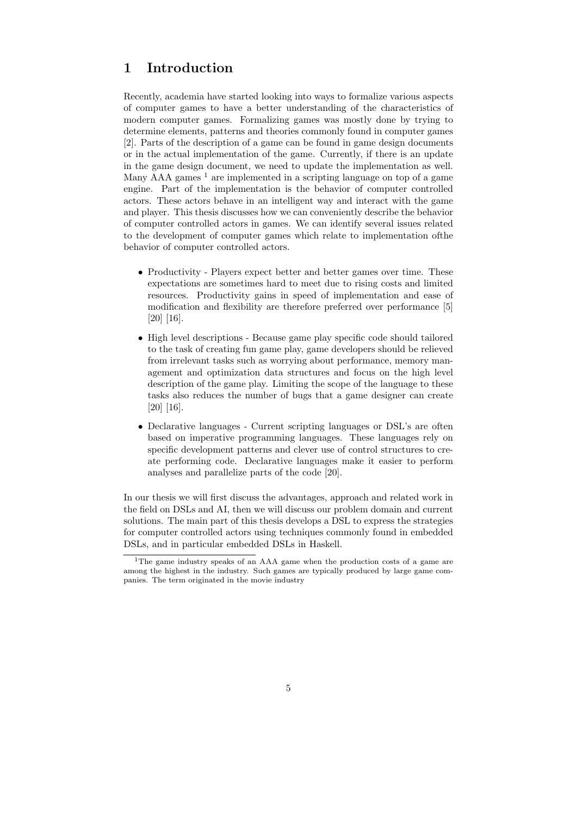# 1 Introduction

Recently, academia have started looking into ways to formalize various aspects of computer games to have a better understanding of the characteristics of modern computer games. Formalizing games was mostly done by trying to determine elements, patterns and theories commonly found in computer games [2]. Parts of the description of a game can be found in game design documents or in the actual implementation of the game. Currently, if there is an update in the game design document, we need to update the implementation as well. Many  $AAA$  games  $<sup>1</sup>$  are implemented in a scripting language on top of a game</sup> engine. Part of the implementation is the behavior of computer controlled actors. These actors behave in an intelligent way and interact with the game and player. This thesis discusses how we can conveniently describe the behavior of computer controlled actors in games. We can identify several issues related to the development of computer games which relate to implementation ofthe behavior of computer controlled actors.

- Productivity Players expect better and better games over time. These expectations are sometimes hard to meet due to rising costs and limited resources. Productivity gains in speed of implementation and ease of modification and flexibility are therefore preferred over performance [5] [20] [16].
- High level descriptions Because game play specific code should tailored to the task of creating fun game play, game developers should be relieved from irrelevant tasks such as worrying about performance, memory management and optimization data structures and focus on the high level description of the game play. Limiting the scope of the language to these tasks also reduces the number of bugs that a game designer can create [20] [16].
- Declarative languages Current scripting languages or DSL's are often based on imperative programming languages. These languages rely on specific development patterns and clever use of control structures to create performing code. Declarative languages make it easier to perform analyses and parallelize parts of the code [20].

In our thesis we will first discuss the advantages, approach and related work in the field on DSLs and AI, then we will discuss our problem domain and current solutions. The main part of this thesis develops a DSL to express the strategies for computer controlled actors using techniques commonly found in embedded DSLs, and in particular embedded DSLs in Haskell.

<sup>1</sup>The game industry speaks of an AAA game when the production costs of a game are among the highest in the industry. Such games are typically produced by large game companies. The term originated in the movie industry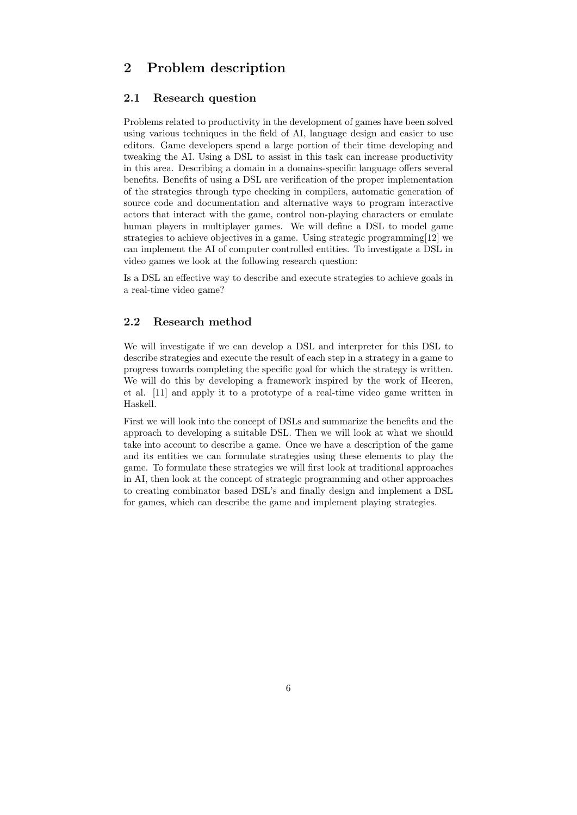# 2 Problem description

### 2.1 Research question

Problems related to productivity in the development of games have been solved using various techniques in the field of AI, language design and easier to use editors. Game developers spend a large portion of their time developing and tweaking the AI. Using a DSL to assist in this task can increase productivity in this area. Describing a domain in a domains-specific language offers several benefits. Benefits of using a DSL are verification of the proper implementation of the strategies through type checking in compilers, automatic generation of source code and documentation and alternative ways to program interactive actors that interact with the game, control non-playing characters or emulate human players in multiplayer games. We will define a DSL to model game strategies to achieve objectives in a game. Using strategic programming[12] we can implement the AI of computer controlled entities. To investigate a DSL in video games we look at the following research question:

Is a DSL an effective way to describe and execute strategies to achieve goals in a real-time video game?

# 2.2 Research method

We will investigate if we can develop a DSL and interpreter for this DSL to describe strategies and execute the result of each step in a strategy in a game to progress towards completing the specific goal for which the strategy is written. We will do this by developing a framework inspired by the work of Heeren, et al. [11] and apply it to a prototype of a real-time video game written in Haskell.

First we will look into the concept of DSLs and summarize the benefits and the approach to developing a suitable DSL. Then we will look at what we should take into account to describe a game. Once we have a description of the game and its entities we can formulate strategies using these elements to play the game. To formulate these strategies we will first look at traditional approaches in AI, then look at the concept of strategic programming and other approaches to creating combinator based DSL's and finally design and implement a DSL for games, which can describe the game and implement playing strategies.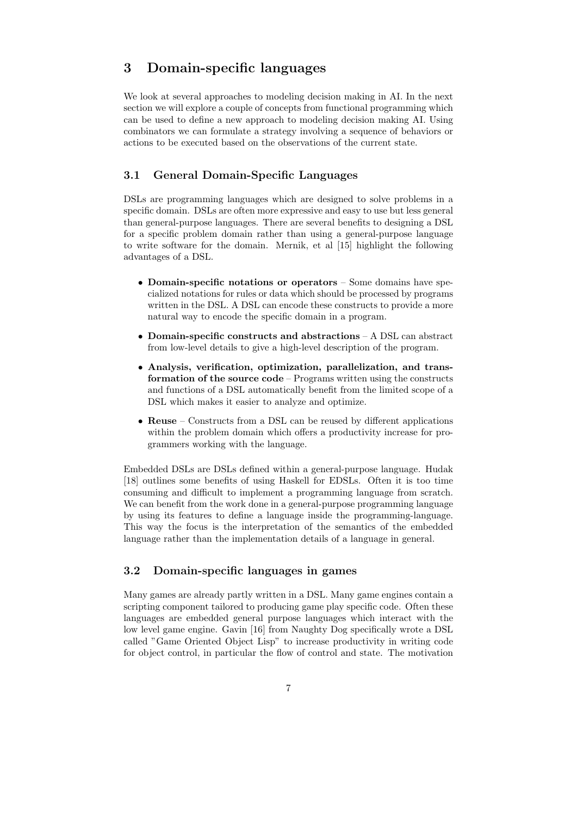# 3 Domain-specific languages

We look at several approaches to modeling decision making in AI. In the next section we will explore a couple of concepts from functional programming which can be used to define a new approach to modeling decision making AI. Using combinators we can formulate a strategy involving a sequence of behaviors or actions to be executed based on the observations of the current state.

# 3.1 General Domain-Specific Languages

DSLs are programming languages which are designed to solve problems in a specific domain. DSLs are often more expressive and easy to use but less general than general-purpose languages. There are several benefits to designing a DSL for a specific problem domain rather than using a general-purpose language to write software for the domain. Mernik, et al [15] highlight the following advantages of a DSL.

- Domain-specific notations or operators Some domains have specialized notations for rules or data which should be processed by programs written in the DSL. A DSL can encode these constructs to provide a more natural way to encode the specific domain in a program.
- Domain-specific constructs and abstractions A DSL can abstract from low-level details to give a high-level description of the program.
- Analysis, verification, optimization, parallelization, and transformation of the source code – Programs written using the constructs and functions of a DSL automatically benefit from the limited scope of a DSL which makes it easier to analyze and optimize.
- Reuse Constructs from a DSL can be reused by different applications within the problem domain which offers a productivity increase for programmers working with the language.

Embedded DSLs are DSLs defined within a general-purpose language. Hudak [18] outlines some benefits of using Haskell for EDSLs. Often it is too time consuming and difficult to implement a programming language from scratch. We can benefit from the work done in a general-purpose programming language by using its features to define a language inside the programming-language. This way the focus is the interpretation of the semantics of the embedded language rather than the implementation details of a language in general.

# 3.2 Domain-specific languages in games

Many games are already partly written in a DSL. Many game engines contain a scripting component tailored to producing game play specific code. Often these languages are embedded general purpose languages which interact with the low level game engine. Gavin [16] from Naughty Dog specifically wrote a DSL called "Game Oriented Object Lisp" to increase productivity in writing code for object control, in particular the flow of control and state. The motivation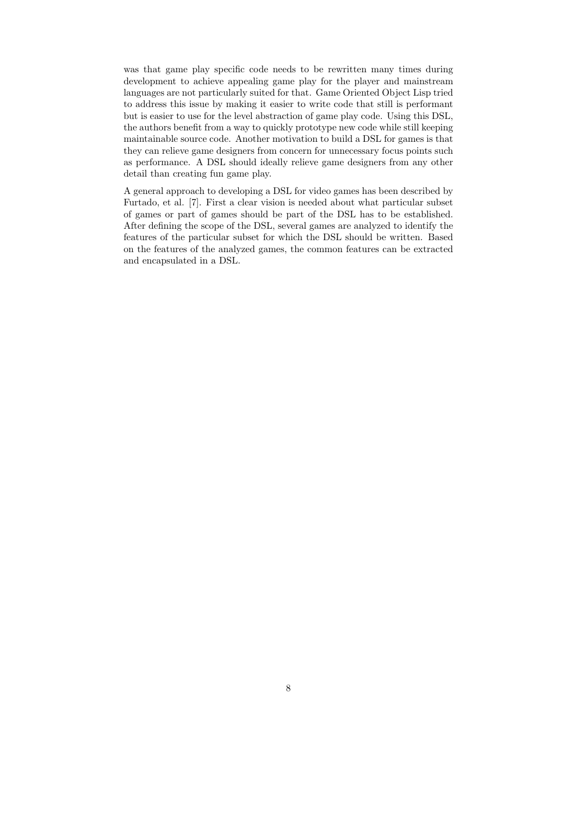was that game play specific code needs to be rewritten many times during development to achieve appealing game play for the player and mainstream languages are not particularly suited for that. Game Oriented Object Lisp tried to address this issue by making it easier to write code that still is performant but is easier to use for the level abstraction of game play code. Using this DSL, the authors benefit from a way to quickly prototype new code while still keeping maintainable source code. Another motivation to build a DSL for games is that they can relieve game designers from concern for unnecessary focus points such as performance. A DSL should ideally relieve game designers from any other detail than creating fun game play.

A general approach to developing a DSL for video games has been described by Furtado, et al. [7]. First a clear vision is needed about what particular subset of games or part of games should be part of the DSL has to be established. After defining the scope of the DSL, several games are analyzed to identify the features of the particular subset for which the DSL should be written. Based on the features of the analyzed games, the common features can be extracted and encapsulated in a DSL.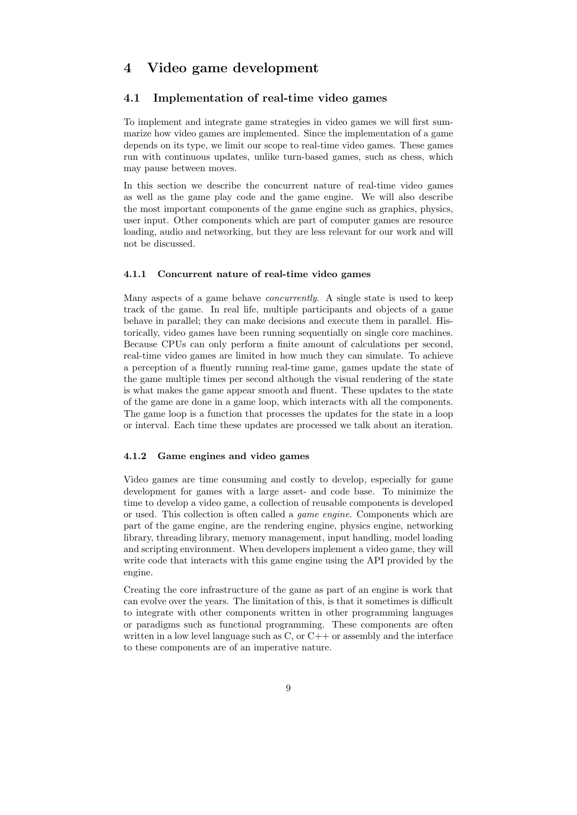# 4 Video game development

#### 4.1 Implementation of real-time video games

To implement and integrate game strategies in video games we will first summarize how video games are implemented. Since the implementation of a game depends on its type, we limit our scope to real-time video games. These games run with continuous updates, unlike turn-based games, such as chess, which may pause between moves.

In this section we describe the concurrent nature of real-time video games as well as the game play code and the game engine. We will also describe the most important components of the game engine such as graphics, physics, user input. Other components which are part of computer games are resource loading, audio and networking, but they are less relevant for our work and will not be discussed.

#### 4.1.1 Concurrent nature of real-time video games

Many aspects of a game behave concurrently. A single state is used to keep track of the game. In real life, multiple participants and objects of a game behave in parallel; they can make decisions and execute them in parallel. Historically, video games have been running sequentially on single core machines. Because CPUs can only perform a finite amount of calculations per second, real-time video games are limited in how much they can simulate. To achieve a perception of a fluently running real-time game, games update the state of the game multiple times per second although the visual rendering of the state is what makes the game appear smooth and fluent. These updates to the state of the game are done in a game loop, which interacts with all the components. The game loop is a function that processes the updates for the state in a loop or interval. Each time these updates are processed we talk about an iteration.

#### 4.1.2 Game engines and video games

Video games are time consuming and costly to develop, especially for game development for games with a large asset- and code base. To minimize the time to develop a video game, a collection of reusable components is developed or used. This collection is often called a game engine. Components which are part of the game engine, are the rendering engine, physics engine, networking library, threading library, memory management, input handling, model loading and scripting environment. When developers implement a video game, they will write code that interacts with this game engine using the API provided by the engine.

Creating the core infrastructure of the game as part of an engine is work that can evolve over the years. The limitation of this, is that it sometimes is difficult to integrate with other components written in other programming languages or paradigms such as functional programming. These components are often written in a low level language such as  $C$ , or  $C++$  or assembly and the interface to these components are of an imperative nature.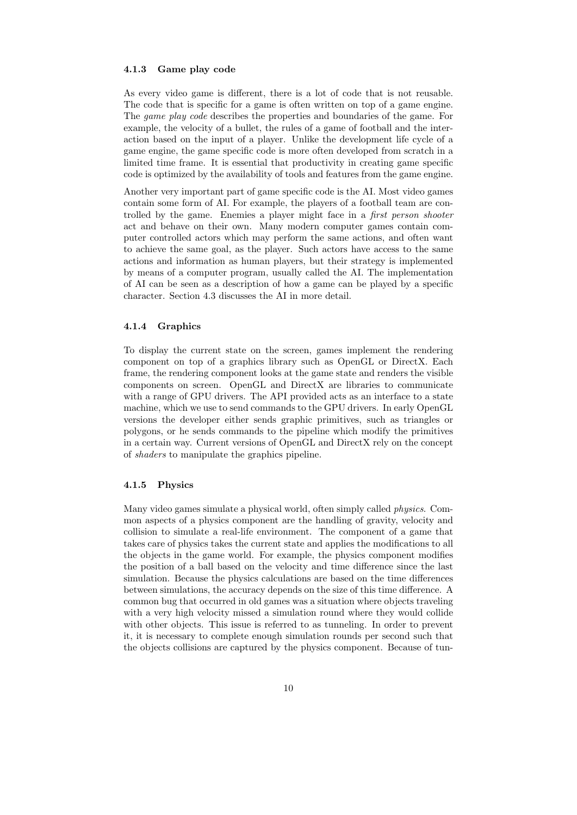#### 4.1.3 Game play code

As every video game is different, there is a lot of code that is not reusable. The code that is specific for a game is often written on top of a game engine. The *game play code* describes the properties and boundaries of the game. For example, the velocity of a bullet, the rules of a game of football and the interaction based on the input of a player. Unlike the development life cycle of a game engine, the game specific code is more often developed from scratch in a limited time frame. It is essential that productivity in creating game specific code is optimized by the availability of tools and features from the game engine.

Another very important part of game specific code is the AI. Most video games contain some form of AI. For example, the players of a football team are controlled by the game. Enemies a player might face in a first person shooter act and behave on their own. Many modern computer games contain computer controlled actors which may perform the same actions, and often want to achieve the same goal, as the player. Such actors have access to the same actions and information as human players, but their strategy is implemented by means of a computer program, usually called the AI. The implementation of AI can be seen as a description of how a game can be played by a specific character. Section 4.3 discusses the AI in more detail.

#### 4.1.4 Graphics

To display the current state on the screen, games implement the rendering component on top of a graphics library such as OpenGL or DirectX. Each frame, the rendering component looks at the game state and renders the visible components on screen. OpenGL and DirectX are libraries to communicate with a range of GPU drivers. The API provided acts as an interface to a state machine, which we use to send commands to the GPU drivers. In early OpenGL versions the developer either sends graphic primitives, such as triangles or polygons, or he sends commands to the pipeline which modify the primitives in a certain way. Current versions of OpenGL and DirectX rely on the concept of shaders to manipulate the graphics pipeline.

#### 4.1.5 Physics

Many video games simulate a physical world, often simply called physics. Common aspects of a physics component are the handling of gravity, velocity and collision to simulate a real-life environment. The component of a game that takes care of physics takes the current state and applies the modifications to all the objects in the game world. For example, the physics component modifies the position of a ball based on the velocity and time difference since the last simulation. Because the physics calculations are based on the time differences between simulations, the accuracy depends on the size of this time difference. A common bug that occurred in old games was a situation where objects traveling with a very high velocity missed a simulation round where they would collide with other objects. This issue is referred to as tunneling. In order to prevent it, it is necessary to complete enough simulation rounds per second such that the objects collisions are captured by the physics component. Because of tun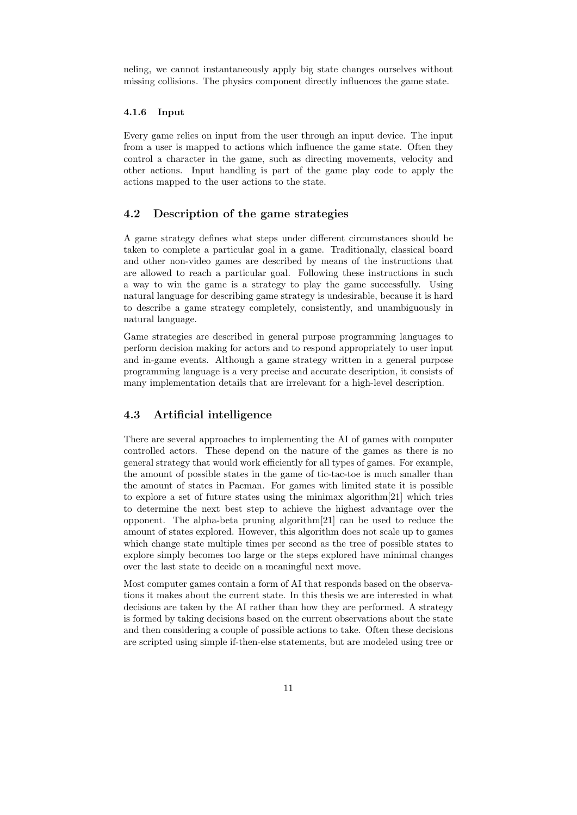neling, we cannot instantaneously apply big state changes ourselves without missing collisions. The physics component directly influences the game state.

#### 4.1.6 Input

Every game relies on input from the user through an input device. The input from a user is mapped to actions which influence the game state. Often they control a character in the game, such as directing movements, velocity and other actions. Input handling is part of the game play code to apply the actions mapped to the user actions to the state.

#### 4.2 Description of the game strategies

A game strategy defines what steps under different circumstances should be taken to complete a particular goal in a game. Traditionally, classical board and other non-video games are described by means of the instructions that are allowed to reach a particular goal. Following these instructions in such a way to win the game is a strategy to play the game successfully. Using natural language for describing game strategy is undesirable, because it is hard to describe a game strategy completely, consistently, and unambiguously in natural language.

Game strategies are described in general purpose programming languages to perform decision making for actors and to respond appropriately to user input and in-game events. Although a game strategy written in a general purpose programming language is a very precise and accurate description, it consists of many implementation details that are irrelevant for a high-level description.

### 4.3 Artificial intelligence

There are several approaches to implementing the AI of games with computer controlled actors. These depend on the nature of the games as there is no general strategy that would work efficiently for all types of games. For example, the amount of possible states in the game of tic-tac-toe is much smaller than the amount of states in Pacman. For games with limited state it is possible to explore a set of future states using the minimax algorithm[21] which tries to determine the next best step to achieve the highest advantage over the opponent. The alpha-beta pruning algorithm[21] can be used to reduce the amount of states explored. However, this algorithm does not scale up to games which change state multiple times per second as the tree of possible states to explore simply becomes too large or the steps explored have minimal changes over the last state to decide on a meaningful next move.

Most computer games contain a form of AI that responds based on the observations it makes about the current state. In this thesis we are interested in what decisions are taken by the AI rather than how they are performed. A strategy is formed by taking decisions based on the current observations about the state and then considering a couple of possible actions to take. Often these decisions are scripted using simple if-then-else statements, but are modeled using tree or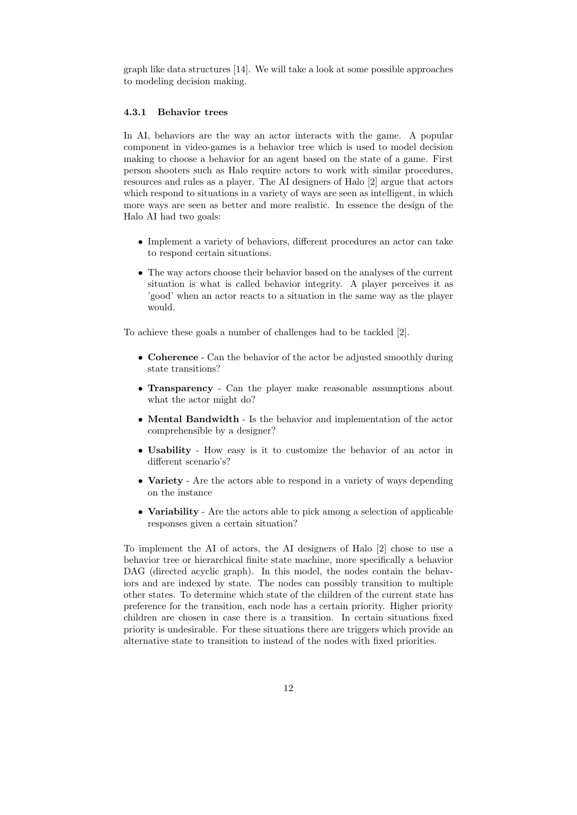graph like data structures [14]. We will take a look at some possible approaches to modeling decision making.

### 4.3.1 Behavior trees

In AI, behaviors are the way an actor interacts with the game. A popular component in video-games is a behavior tree which is used to model decision making to choose a behavior for an agent based on the state of a game. First person shooters such as Halo require actors to work with similar procedures, resources and rules as a player. The AI designers of Halo [2] argue that actors which respond to situations in a variety of ways are seen as intelligent, in which more ways are seen as better and more realistic. In essence the design of the Halo AI had two goals:

- Implement a variety of behaviors, different procedures an actor can take to respond certain situations.
- The way actors choose their behavior based on the analyses of the current situation is what is called behavior integrity. A player perceives it as 'good' when an actor reacts to a situation in the same way as the player would.

To achieve these goals a number of challenges had to be tackled [2].

- Coherence Can the behavior of the actor be adjusted smoothly during state transitions?
- Transparency Can the player make reasonable assumptions about what the actor might do?
- Mental Bandwidth Is the behavior and implementation of the actor comprehensible by a designer?
- Usability How easy is it to customize the behavior of an actor in different scenario's?
- Variety Are the actors able to respond in a variety of ways depending on the instance
- Variability Are the actors able to pick among a selection of applicable responses given a certain situation?

To implement the AI of actors, the AI designers of Halo [2] chose to use a behavior tree or hierarchical finite state machine, more specifically a behavior DAG (directed acyclic graph). In this model, the nodes contain the behaviors and are indexed by state. The nodes can possibly transition to multiple other states. To determine which state of the children of the current state has preference for the transition, each node has a certain priority. Higher priority children are chosen in case there is a transition. In certain situations fixed priority is undesirable. For these situations there are triggers which provide an alternative state to transition to instead of the nodes with fixed priorities.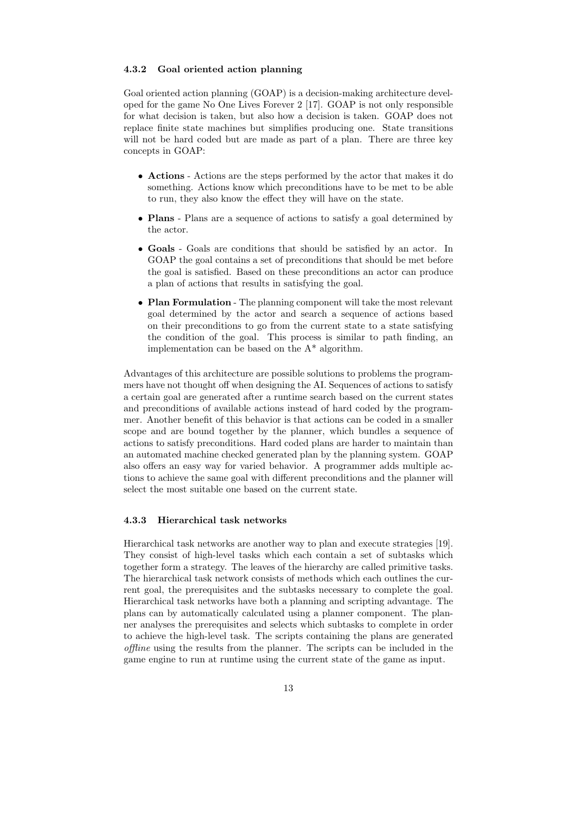#### 4.3.2 Goal oriented action planning

Goal oriented action planning (GOAP) is a decision-making architecture developed for the game No One Lives Forever 2 [17]. GOAP is not only responsible for what decision is taken, but also how a decision is taken. GOAP does not replace finite state machines but simplifies producing one. State transitions will not be hard coded but are made as part of a plan. There are three key concepts in GOAP:

- Actions Actions are the steps performed by the actor that makes it do something. Actions know which preconditions have to be met to be able to run, they also know the effect they will have on the state.
- Plans Plans are a sequence of actions to satisfy a goal determined by the actor.
- Goals Goals are conditions that should be satisfied by an actor. In GOAP the goal contains a set of preconditions that should be met before the goal is satisfied. Based on these preconditions an actor can produce a plan of actions that results in satisfying the goal.
- Plan Formulation The planning component will take the most relevant goal determined by the actor and search a sequence of actions based on their preconditions to go from the current state to a state satisfying the condition of the goal. This process is similar to path finding, an implementation can be based on the A\* algorithm.

Advantages of this architecture are possible solutions to problems the programmers have not thought off when designing the AI. Sequences of actions to satisfy a certain goal are generated after a runtime search based on the current states and preconditions of available actions instead of hard coded by the programmer. Another benefit of this behavior is that actions can be coded in a smaller scope and are bound together by the planner, which bundles a sequence of actions to satisfy preconditions. Hard coded plans are harder to maintain than an automated machine checked generated plan by the planning system. GOAP also offers an easy way for varied behavior. A programmer adds multiple actions to achieve the same goal with different preconditions and the planner will select the most suitable one based on the current state.

#### 4.3.3 Hierarchical task networks

Hierarchical task networks are another way to plan and execute strategies [19]. They consist of high-level tasks which each contain a set of subtasks which together form a strategy. The leaves of the hierarchy are called primitive tasks. The hierarchical task network consists of methods which each outlines the current goal, the prerequisites and the subtasks necessary to complete the goal. Hierarchical task networks have both a planning and scripting advantage. The plans can by automatically calculated using a planner component. The planner analyses the prerequisites and selects which subtasks to complete in order to achieve the high-level task. The scripts containing the plans are generated offline using the results from the planner. The scripts can be included in the game engine to run at runtime using the current state of the game as input.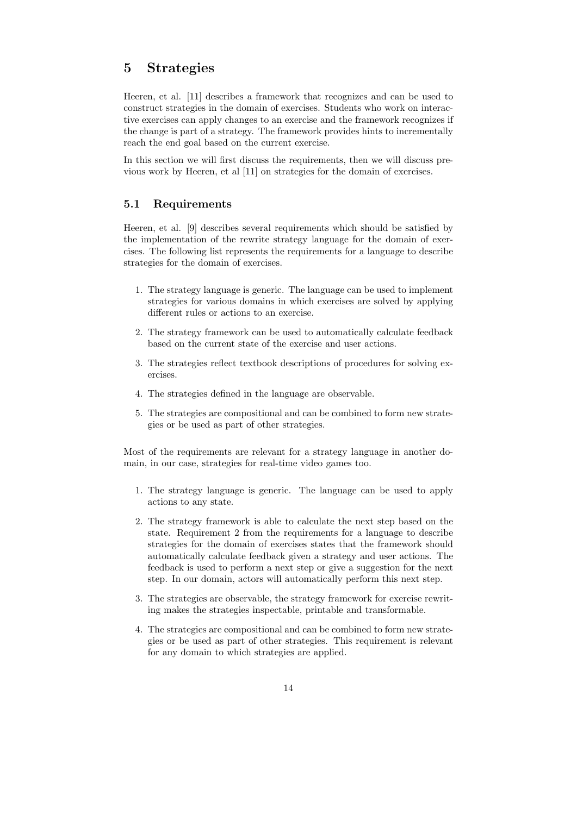# 5 Strategies

Heeren, et al. [11] describes a framework that recognizes and can be used to construct strategies in the domain of exercises. Students who work on interactive exercises can apply changes to an exercise and the framework recognizes if the change is part of a strategy. The framework provides hints to incrementally reach the end goal based on the current exercise.

In this section we will first discuss the requirements, then we will discuss previous work by Heeren, et al [11] on strategies for the domain of exercises.

### 5.1 Requirements

Heeren, et al. [9] describes several requirements which should be satisfied by the implementation of the rewrite strategy language for the domain of exercises. The following list represents the requirements for a language to describe strategies for the domain of exercises.

- 1. The strategy language is generic. The language can be used to implement strategies for various domains in which exercises are solved by applying different rules or actions to an exercise.
- 2. The strategy framework can be used to automatically calculate feedback based on the current state of the exercise and user actions.
- 3. The strategies reflect textbook descriptions of procedures for solving exercises.
- 4. The strategies defined in the language are observable.
- 5. The strategies are compositional and can be combined to form new strategies or be used as part of other strategies.

Most of the requirements are relevant for a strategy language in another domain, in our case, strategies for real-time video games too.

- 1. The strategy language is generic. The language can be used to apply actions to any state.
- 2. The strategy framework is able to calculate the next step based on the state. Requirement 2 from the requirements for a language to describe strategies for the domain of exercises states that the framework should automatically calculate feedback given a strategy and user actions. The feedback is used to perform a next step or give a suggestion for the next step. In our domain, actors will automatically perform this next step.
- 3. The strategies are observable, the strategy framework for exercise rewriting makes the strategies inspectable, printable and transformable.
- 4. The strategies are compositional and can be combined to form new strategies or be used as part of other strategies. This requirement is relevant for any domain to which strategies are applied.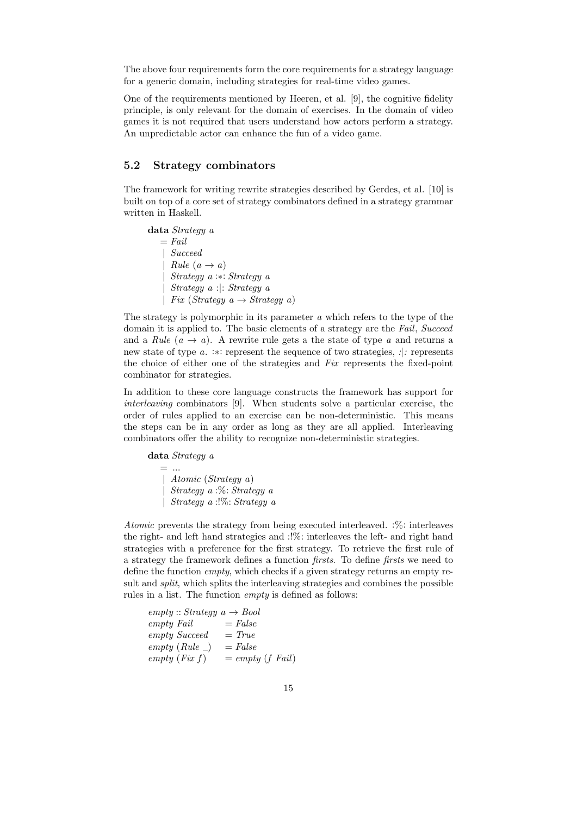The above four requirements form the core requirements for a strategy language for a generic domain, including strategies for real-time video games.

One of the requirements mentioned by Heeren, et al. [9], the cognitive fidelity principle, is only relevant for the domain of exercises. In the domain of video games it is not required that users understand how actors perform a strategy. An unpredictable actor can enhance the fun of a video game.

#### 5.2 Strategy combinators

The framework for writing rewrite strategies described by Gerdes, et al. [10] is built on top of a core set of strategy combinators defined in a strategy grammar written in Haskell.

data Strategy a  $=$  Fail | Succeed  $Rule (a \rightarrow a)$ | Strategy a :∗: Strategy a | Strategy a :|: Strategy a | Fix (Strategy  $a \rightarrow Strategy a$ )

The strategy is polymorphic in its parameter a which refers to the type of the domain it is applied to. The basic elements of a strategy are the Fail, Succeed and a Rule  $(a \rightarrow a)$ . A rewrite rule gets a the state of type a and returns a new state of type a. :∗: represent the sequence of two strategies, :|: represents the choice of either one of the strategies and Fix represents the fixed-point combinator for strategies.

In addition to these core language constructs the framework has support for interleaving combinators [9]. When students solve a particular exercise, the order of rules applied to an exercise can be non-deterministic. This means the steps can be in any order as long as they are all applied. Interleaving combinators offer the ability to recognize non-deterministic strategies.

data Strategy a  $=$  ... | Atomic (Strategy a) | Strategy a :%: Strategy a | Strategy a :!%: Strategy a

Atomic prevents the strategy from being executed interleaved. :%: interleaves the right- and left hand strategies and :!%: interleaves the left- and right hand strategies with a preference for the first strategy. To retrieve the first rule of a strategy the framework defines a function firsts. To define firsts we need to define the function empty, which checks if a given strategy returns an empty result and split, which splits the interleaving strategies and combines the possible rules in a list. The function empty is defined as follows:

$$
\begin{array}{lll} empty::Strategy & a \rightarrow Bool \\ empty & Fall & = False \\ empty & Succeed & = True \\ empty & (Rule \_) & = False \\ empty & (Fix f) & = empty (f Fall) \end{array}
$$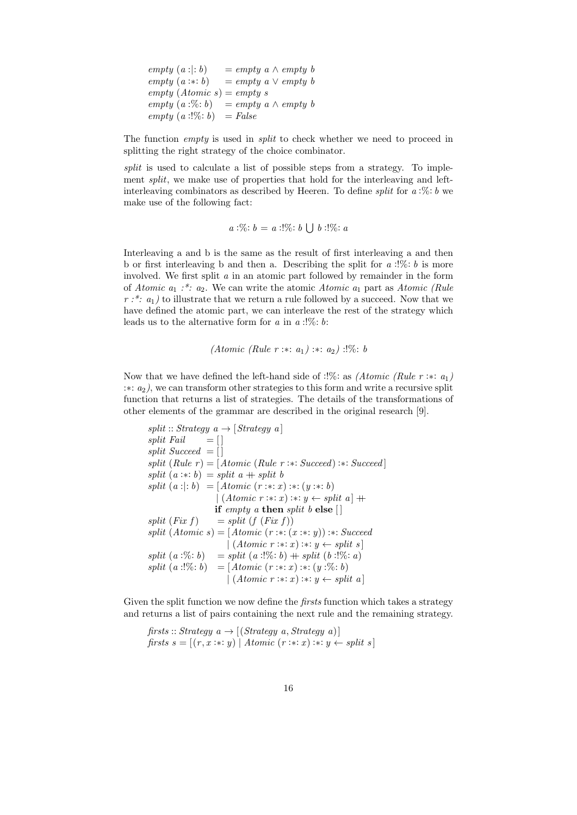empty  $(a : |: b)$  = empty  $a \wedge empty b$ empty  $(a : * : b)$  = empty  $a \vee \emptyset$  $empty (Atomic s) = empty s$ empty  $(a:\%)$ : b) = empty  $a \wedge empty$ empty  $(a:!\%: b) = False$ 

The function *empty* is used in *split* to check whether we need to proceed in splitting the right strategy of the choice combinator.

split is used to calculate a list of possible steps from a strategy. To implement *split*, we make use of properties that hold for the interleaving and leftinterleaving combinators as described by Heeren. To define *split* for  $a:\% : b$  we make use of the following fact:

 $a:\% : b = a:\mathcal{C}: b \bigcup b:\mathcal{C}: a$ 

Interleaving a and b is the same as the result of first interleaving a and then b or first interleaving b and then a. Describing the split for  $a$ :  $\%$ : b is more involved. We first split a in an atomic part followed by remainder in the form of Atomic  $a_1 : \stackrel{*}{\ldots} a_2$ . We can write the atomic Atomic  $a_1$  part as Atomic (Rule  $r : x : a_1$  to illustrate that we return a rule followed by a succeed. Now that we have defined the atomic part, we can interleave the rest of the strategy which leads us to the alternative form for a in  $a$  :!%: b:

(Atomic (Rule r :∗: a1) :∗: a2) :!%: b

Now that we have defined the left-hand side of :!%: as *(Atomic (Rule r* :\*:  $a_1$ ) :∗: a2), we can transform other strategies to this form and write a recursive split function that returns a list of strategies. The details of the transformations of other elements of the grammar are described in the original research [9].

split :: Strategy a 
$$
\rightarrow
$$
 [Strategy a]  
\nsplit *Pauli*  $= []$   
\nsplit *Success*  $= []$   
\nsplit (Rule r) = [Atomic (Rule r : \*: Succeed) : \*: Succeed]  
\nsplit (a : \*: b) = split a + split b  
\nsplit (a : |: b) = [Atomic (r : \*: x) : \*: (y : \*: b)  
\n(Atomic r : \*: x) : \*: y \leftarrow split a] +  
\nif empty a then split b else []  
\nsplit (Fix f) = split (f (Fix f))  
\nsplit (Atomic s) = [Atomic (r : \*: (x : \*: y)) : \*: Succeed  
\n[(Atomic r : \*: x) : \*: y \leftarrow split s]  
\nsplit (a : %: b) = split (a : !%: b) + split (b : !%: a)  
\nsplit (a : !%: b) = [Atomic (r : \*: x) : \*: (y : %: b)  
\n(Atomic r : \*: x) : \*: y \leftarrow split a]

Given the split function we now define the *firsts* function which takes a strategy and returns a list of pairs containing the next rule and the remaining strategy.

firsts :: Strategy  $a \rightarrow [(Strategy\ a, Strategy\ a)]$ firsts  $s = [(r, x : * : y) | Atomic (r : * : x) : * : y \leftarrow split s]$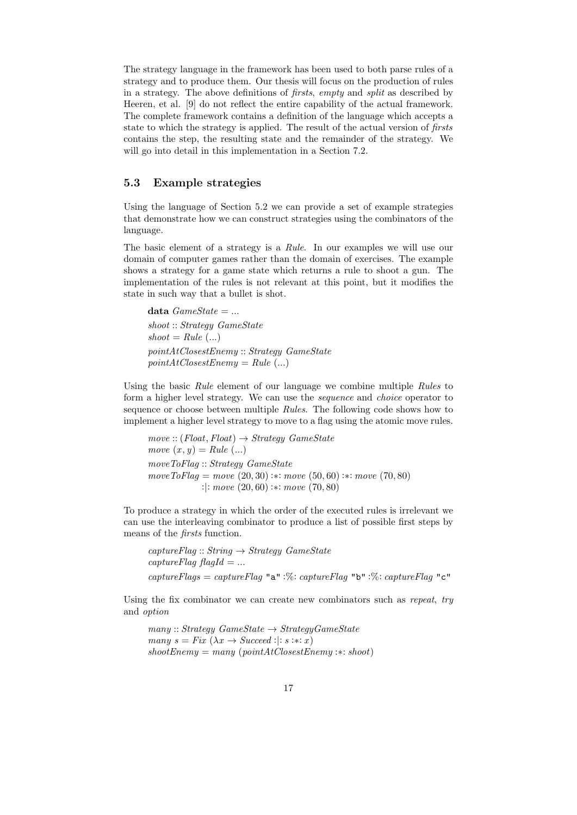The strategy language in the framework has been used to both parse rules of a strategy and to produce them. Our thesis will focus on the production of rules in a strategy. The above definitions of firsts, empty and split as described by Heeren, et al. [9] do not reflect the entire capability of the actual framework. The complete framework contains a definition of the language which accepts a state to which the strategy is applied. The result of the actual version of firsts contains the step, the resulting state and the remainder of the strategy. We will go into detail in this implementation in a Section 7.2.

#### 5.3 Example strategies

Using the language of Section 5.2 we can provide a set of example strategies that demonstrate how we can construct strategies using the combinators of the language.

The basic element of a strategy is a Rule. In our examples we will use our domain of computer games rather than the domain of exercises. The example shows a strategy for a game state which returns a rule to shoot a gun. The implementation of the rules is not relevant at this point, but it modifies the state in such way that a bullet is shot.

data  $GameState = ...$ shoot :: Strategy GameState  $shoot = Rule (...)$ pointAtClosestEnemy :: Strategy GameState  $pointAtClosestEnemy = Rule (...)$ 

Using the basic Rule element of our language we combine multiple Rules to form a higher level strategy. We can use the sequence and choice operator to sequence or choose between multiple Rules. The following code shows how to implement a higher level strategy to move to a flag using the atomic move rules.

 $move :: (Float, float) \rightarrow Strategy \ GameState$ move  $(x, y) = Rule$   $(...)$ moveToFlag :: Strategy GameState  $move ToFlag = move (20, 30) :: move (50, 60) :: move (70, 80)$ :|: move (20, 60) :∗: move (70, 80)

To produce a strategy in which the order of the executed rules is irrelevant we can use the interleaving combinator to produce a list of possible first steps by means of the firsts function.

```
captureFlag :: String \rightarrow Strategy \ GameStatecaptureFlag flagId = ...
captureFlags = captureFlag "a" :%: captureFlag "b" :%: captureFlag "c"
```
Using the fix combinator we can create new combinators such as repeat, try and option

 $many::Strategy$   $GameState \rightarrow StrategyGameState$ many  $s = Fix (\lambda x \rightarrow Succeed : |: s : * : x)$  $shootEnemy = many (point AtClosestEnemy : *: shoot)$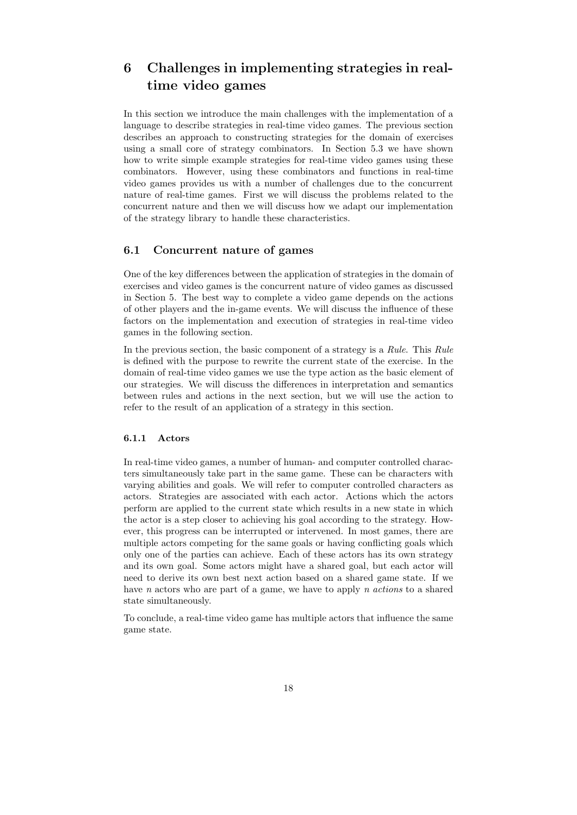# 6 Challenges in implementing strategies in realtime video games

In this section we introduce the main challenges with the implementation of a language to describe strategies in real-time video games. The previous section describes an approach to constructing strategies for the domain of exercises using a small core of strategy combinators. In Section 5.3 we have shown how to write simple example strategies for real-time video games using these combinators. However, using these combinators and functions in real-time video games provides us with a number of challenges due to the concurrent nature of real-time games. First we will discuss the problems related to the concurrent nature and then we will discuss how we adapt our implementation of the strategy library to handle these characteristics.

### 6.1 Concurrent nature of games

One of the key differences between the application of strategies in the domain of exercises and video games is the concurrent nature of video games as discussed in Section 5. The best way to complete a video game depends on the actions of other players and the in-game events. We will discuss the influence of these factors on the implementation and execution of strategies in real-time video games in the following section.

In the previous section, the basic component of a strategy is a Rule. This Rule is defined with the purpose to rewrite the current state of the exercise. In the domain of real-time video games we use the type action as the basic element of our strategies. We will discuss the differences in interpretation and semantics between rules and actions in the next section, but we will use the action to refer to the result of an application of a strategy in this section.

### 6.1.1 Actors

In real-time video games, a number of human- and computer controlled characters simultaneously take part in the same game. These can be characters with varying abilities and goals. We will refer to computer controlled characters as actors. Strategies are associated with each actor. Actions which the actors perform are applied to the current state which results in a new state in which the actor is a step closer to achieving his goal according to the strategy. However, this progress can be interrupted or intervened. In most games, there are multiple actors competing for the same goals or having conflicting goals which only one of the parties can achieve. Each of these actors has its own strategy and its own goal. Some actors might have a shared goal, but each actor will need to derive its own best next action based on a shared game state. If we have n actors who are part of a game, we have to apply n actions to a shared state simultaneously.

To conclude, a real-time video game has multiple actors that influence the same game state.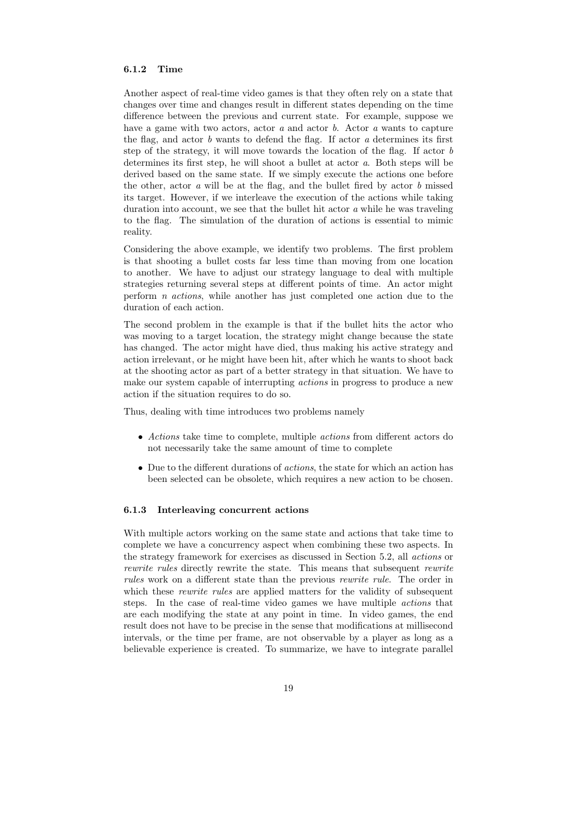# 6.1.2 Time

Another aspect of real-time video games is that they often rely on a state that changes over time and changes result in different states depending on the time difference between the previous and current state. For example, suppose we have a game with two actors, actor  $a$  and actor  $b$ . Actor  $a$  wants to capture the flag, and actor  $b$  wants to defend the flag. If actor  $a$  determines its first step of the strategy, it will move towards the location of the flag. If actor b determines its first step, he will shoot a bullet at actor a. Both steps will be derived based on the same state. If we simply execute the actions one before the other, actor  $a$  will be at the flag, and the bullet fired by actor  $b$  missed its target. However, if we interleave the execution of the actions while taking duration into account, we see that the bullet hit actor a while he was traveling to the flag. The simulation of the duration of actions is essential to mimic reality.

Considering the above example, we identify two problems. The first problem is that shooting a bullet costs far less time than moving from one location to another. We have to adjust our strategy language to deal with multiple strategies returning several steps at different points of time. An actor might perform n actions, while another has just completed one action due to the duration of each action.

The second problem in the example is that if the bullet hits the actor who was moving to a target location, the strategy might change because the state has changed. The actor might have died, thus making his active strategy and action irrelevant, or he might have been hit, after which he wants to shoot back at the shooting actor as part of a better strategy in that situation. We have to make our system capable of interrupting actions in progress to produce a new action if the situation requires to do so.

Thus, dealing with time introduces two problems namely

- Actions take time to complete, multiple *actions* from different actors do not necessarily take the same amount of time to complete
- Due to the different durations of *actions*, the state for which an action has been selected can be obsolete, which requires a new action to be chosen.

#### 6.1.3 Interleaving concurrent actions

With multiple actors working on the same state and actions that take time to complete we have a concurrency aspect when combining these two aspects. In the strategy framework for exercises as discussed in Section 5.2, all actions or rewrite rules directly rewrite the state. This means that subsequent rewrite rules work on a different state than the previous rewrite rule. The order in which these *rewrite rules* are applied matters for the validity of subsequent steps. In the case of real-time video games we have multiple actions that are each modifying the state at any point in time. In video games, the end result does not have to be precise in the sense that modifications at millisecond intervals, or the time per frame, are not observable by a player as long as a believable experience is created. To summarize, we have to integrate parallel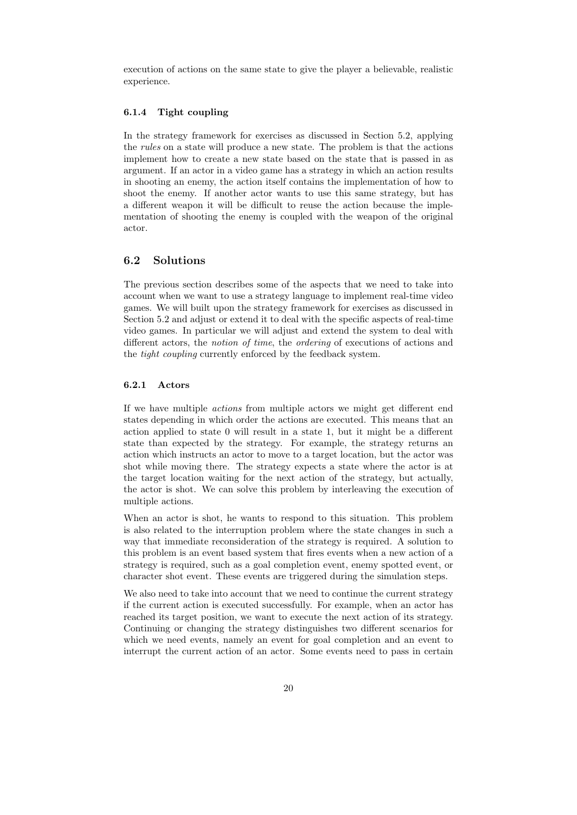execution of actions on the same state to give the player a believable, realistic experience.

### 6.1.4 Tight coupling

In the strategy framework for exercises as discussed in Section 5.2, applying the rules on a state will produce a new state. The problem is that the actions implement how to create a new state based on the state that is passed in as argument. If an actor in a video game has a strategy in which an action results in shooting an enemy, the action itself contains the implementation of how to shoot the enemy. If another actor wants to use this same strategy, but has a different weapon it will be difficult to reuse the action because the implementation of shooting the enemy is coupled with the weapon of the original actor.

# 6.2 Solutions

The previous section describes some of the aspects that we need to take into account when we want to use a strategy language to implement real-time video games. We will built upon the strategy framework for exercises as discussed in Section 5.2 and adjust or extend it to deal with the specific aspects of real-time video games. In particular we will adjust and extend the system to deal with different actors, the notion of time, the ordering of executions of actions and the tight coupling currently enforced by the feedback system.

#### 6.2.1 Actors

If we have multiple actions from multiple actors we might get different end states depending in which order the actions are executed. This means that an action applied to state 0 will result in a state 1, but it might be a different state than expected by the strategy. For example, the strategy returns an action which instructs an actor to move to a target location, but the actor was shot while moving there. The strategy expects a state where the actor is at the target location waiting for the next action of the strategy, but actually, the actor is shot. We can solve this problem by interleaving the execution of multiple actions.

When an actor is shot, he wants to respond to this situation. This problem is also related to the interruption problem where the state changes in such a way that immediate reconsideration of the strategy is required. A solution to this problem is an event based system that fires events when a new action of a strategy is required, such as a goal completion event, enemy spotted event, or character shot event. These events are triggered during the simulation steps.

We also need to take into account that we need to continue the current strategy if the current action is executed successfully. For example, when an actor has reached its target position, we want to execute the next action of its strategy. Continuing or changing the strategy distinguishes two different scenarios for which we need events, namely an event for goal completion and an event to interrupt the current action of an actor. Some events need to pass in certain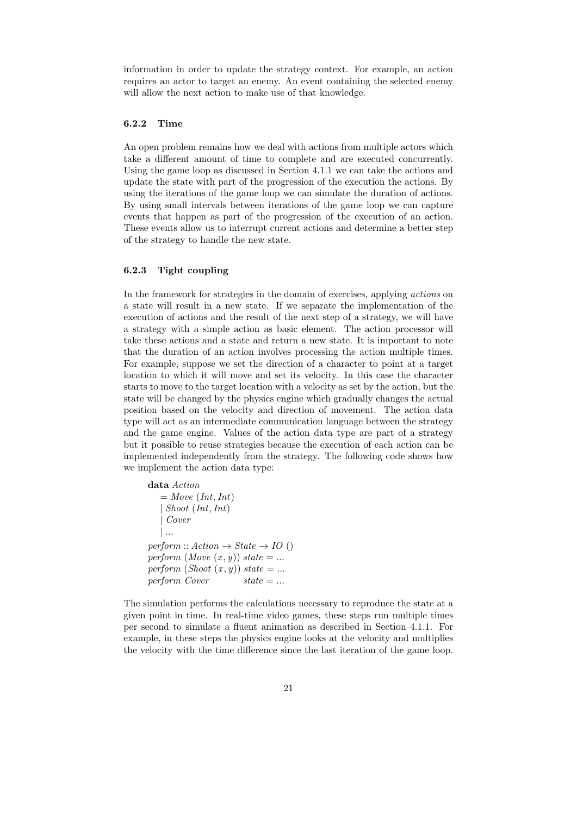information in order to update the strategy context. For example, an action requires an actor to target an enemy. An event containing the selected enemy will allow the next action to make use of that knowledge.

# 6.2.2 Time

An open problem remains how we deal with actions from multiple actors which take a different amount of time to complete and are executed concurrently. Using the game loop as discussed in Section 4.1.1 we can take the actions and update the state with part of the progression of the execution the actions. By using the iterations of the game loop we can simulate the duration of actions. By using small intervals between iterations of the game loop we can capture events that happen as part of the progression of the execution of an action. These events allow us to interrupt current actions and determine a better step of the strategy to handle the new state.

#### 6.2.3 Tight coupling

In the framework for strategies in the domain of exercises, applying actions on a state will result in a new state. If we separate the implementation of the execution of actions and the result of the next step of a strategy, we will have a strategy with a simple action as basic element. The action processor will take these actions and a state and return a new state. It is important to note that the duration of an action involves processing the action multiple times. For example, suppose we set the direction of a character to point at a target location to which it will move and set its velocity. In this case the character starts to move to the target location with a velocity as set by the action, but the state will be changed by the physics engine which gradually changes the actual position based on the velocity and direction of movement. The action data type will act as an intermediate communication language between the strategy and the game engine. Values of the action data type are part of a strategy but it possible to reuse strategies because the execution of each action can be implemented independently from the strategy. The following code shows how we implement the action data type:

```
data Action
   = Move (Int, Int)| Shoot (Int,Int)| Cover
   | ...
perform :: Action \rightarrow State \rightarrow IO()perform (Move(x, y)) state = ...perform (Show(x, y)) state = ...perform Cover state = ...
```
The simulation performs the calculations necessary to reproduce the state at a given point in time. In real-time video games, these steps run multiple times per second to simulate a fluent animation as described in Section 4.1.1. For example, in these steps the physics engine looks at the velocity and multiplies the velocity with the time difference since the last iteration of the game loop.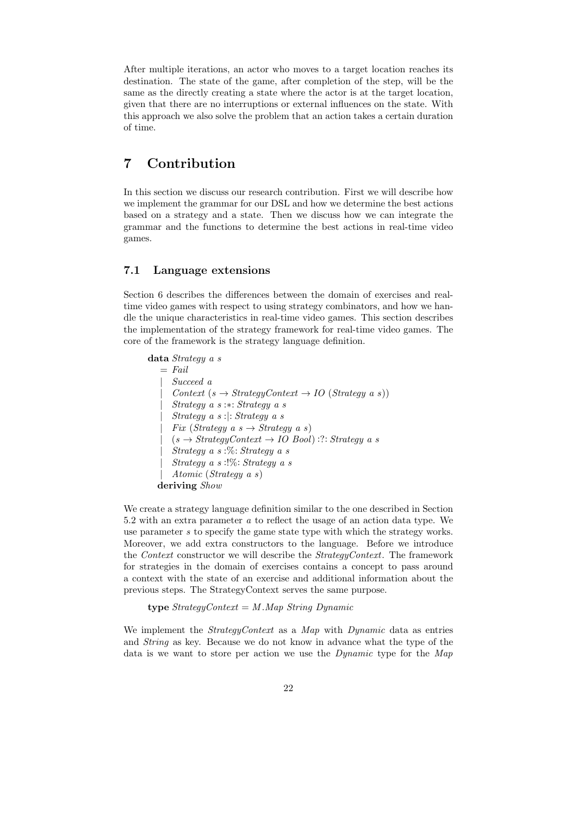After multiple iterations, an actor who moves to a target location reaches its destination. The state of the game, after completion of the step, will be the same as the directly creating a state where the actor is at the target location, given that there are no interruptions or external influences on the state. With this approach we also solve the problem that an action takes a certain duration of time.

# 7 Contribution

In this section we discuss our research contribution. First we will describe how we implement the grammar for our DSL and how we determine the best actions based on a strategy and a state. Then we discuss how we can integrate the grammar and the functions to determine the best actions in real-time video games.

### 7.1 Language extensions

Section 6 describes the differences between the domain of exercises and realtime video games with respect to using strategy combinators, and how we handle the unique characteristics in real-time video games. This section describes the implementation of the strategy framework for real-time video games. The core of the framework is the strategy language definition.

```
data Strategy a s
   = Fail
      | Succeed a
      Context(s \rightarrow StrategyContext \rightarrow IO(Strategy a s))| Strategy a s :∗: Strategy a s
      | Strategy a s :|: Strategy a s
      Fix (Strategy a s \rightarrow Strategy a s)
      (s \rightarrow StrategyContext \rightarrow IOBool):?: Strategy a s
      Strategy \ a \ s \ \ \%: Strategy a \ s| Strategy a s :!%: Strategy a s
      | Atomic (Strategy a s)
  deriving Show
```
We create a strategy language definition similar to the one described in Section 5.2 with an extra parameter a to reflect the usage of an action data type. We use parameter s to specify the game state type with which the strategy works. Moreover, we add extra constructors to the language. Before we introduce the Context constructor we will describe the StrategyContext. The framework for strategies in the domain of exercises contains a concept to pass around a context with the state of an exercise and additional information about the previous steps. The StrategyContext serves the same purpose.

type  $StrategyContext = M.Map$  String Dynamic

We implement the *StrategyContext* as a *Map* with *Dynamic* data as entries and String as key. Because we do not know in advance what the type of the data is we want to store per action we use the *Dynamic* type for the Map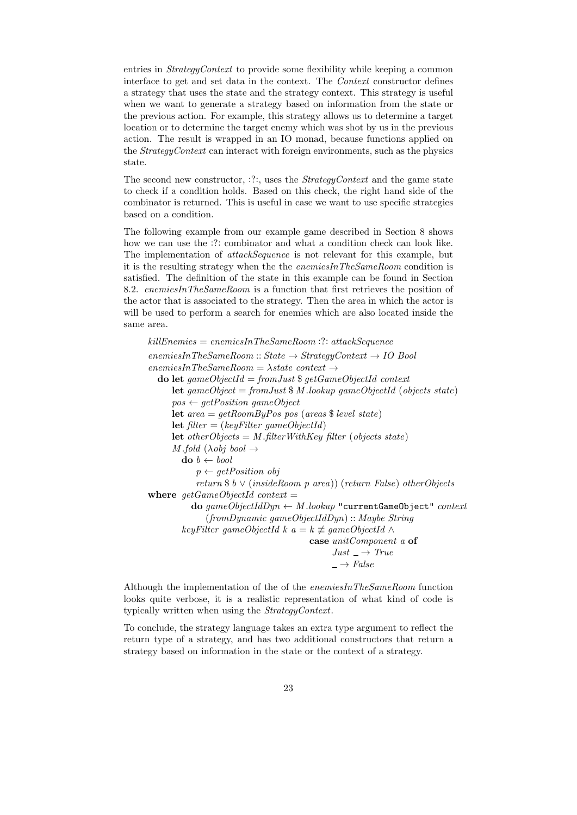entries in StrategyContext to provide some flexibility while keeping a common interface to get and set data in the context. The Context constructor defines a strategy that uses the state and the strategy context. This strategy is useful when we want to generate a strategy based on information from the state or the previous action. For example, this strategy allows us to determine a target location or to determine the target enemy which was shot by us in the previous action. The result is wrapped in an IO monad, because functions applied on the StrategyContext can interact with foreign environments, such as the physics state.

The second new constructor,  $:$ ::, uses the *StrategyContext* and the game state to check if a condition holds. Based on this check, the right hand side of the combinator is returned. This is useful in case we want to use specific strategies based on a condition.

The following example from our example game described in Section 8 shows how we can use the :?: combinator and what a condition check can look like. The implementation of attackSequence is not relevant for this example, but it is the resulting strategy when the the enemiesInTheSameRoom condition is satisfied. The definition of the state in this example can be found in Section 8.2. enemiesInTheSameRoom is a function that first retrieves the position of the actor that is associated to the strategy. Then the area in which the actor is will be used to perform a search for enemies which are also located inside the same area.

killEnemies = enemiesInTheSameRoom :?: attackSequence  $enemiesInThe SameRoom::State \rightarrow StrategicContext \rightarrow IOBool$  $enemiesInTheSameRoom = \lambda state\ context \rightarrow$ do let  $gameObjectId = fromJust$  \$  $getGameObjectId$  context **let** gameObject = fromJust  $M$  .lookup gameObjectId (objects state)  $pos \leftarrow getPosition\qquad gameObject$ let  $area = getRoomByPos$  pos (areas \$ level state) **let** filter =  $(keyFilter \q$ ameObjectId) **let** otherObjects = M. filterWithKey filter (objects state) M fold  $(\lambda$ obi bool  $\rightarrow$  $\mathbf{do} \; b \leftarrow \mathit{bool}$  $p \leftarrow getPosition \ obj$ return  $\delta b \vee (insideRoom \, p \, area)$  (return False) other Objects where  $qetGameObjectId$  context = do  $gameObjectIdDyn \leftarrow M.lower$ "currentGameObject" context (fromDynamic gameObjectIdDyn) :: Maybe String keyFilter gameObjectId k a = k  $\neq$  gameObjectId  $\wedge$ case unitComponent a of  $Just \rightharpoonup True$  $\rightarrow$  False

Although the implementation of the of the enemiesInTheSameRoom function looks quite verbose, it is a realistic representation of what kind of code is typically written when using the StrategyContext.

To conclude, the strategy language takes an extra type argument to reflect the return type of a strategy, and has two additional constructors that return a strategy based on information in the state or the context of a strategy.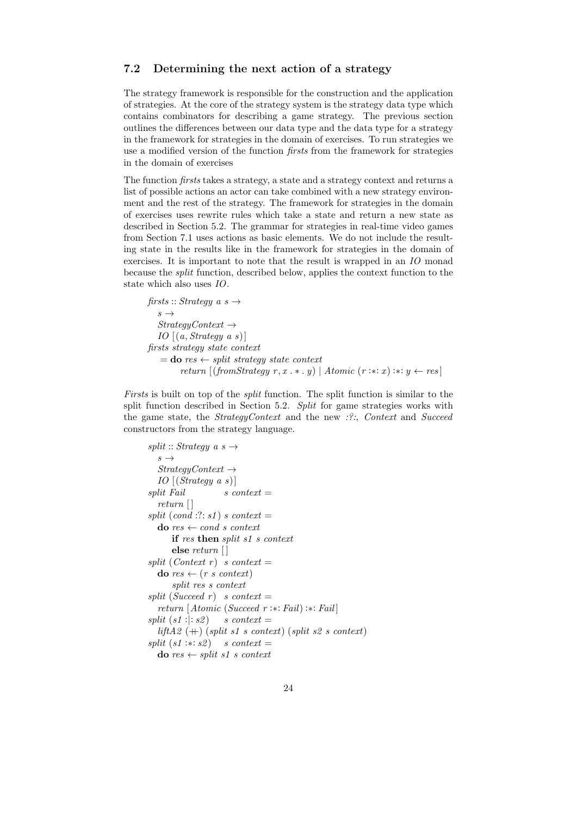# 7.2 Determining the next action of a strategy

The strategy framework is responsible for the construction and the application of strategies. At the core of the strategy system is the strategy data type which contains combinators for describing a game strategy. The previous section outlines the differences between our data type and the data type for a strategy in the framework for strategies in the domain of exercises. To run strategies we use a modified version of the function firsts from the framework for strategies in the domain of exercises

The function firsts takes a strategy, a state and a strategy context and returns a list of possible actions an actor can take combined with a new strategy environment and the rest of the strategy. The framework for strategies in the domain of exercises uses rewrite rules which take a state and return a new state as described in Section 5.2. The grammar for strategies in real-time video games from Section 7.1 uses actions as basic elements. We do not include the resulting state in the results like in the framework for strategies in the domain of exercises. It is important to note that the result is wrapped in an IO monad because the split function, described below, applies the context function to the state which also uses IO.

firsts :: Strategy a  $s \rightarrow$  $s \rightarrow$  $StrategyContext \rightarrow$ IO  $[(a, Strategy a s)]$ firsts strategy state context  $=$  do res  $\leftarrow$  split strategy state context return  $[(from Strategy r, x.* y) | Atomic (r.*x).* y \leftarrow res]$ 

Firsts is built on top of the split function. The split function is similar to the split function described in Section 5.2. Split for game strategies works with the game state, the *StrategyContext* and the new  $\mathcal{P}$ :, *Context* and *Succeed* constructors from the strategy language.

```
split :: Strategy a s \rightarrows \rightarrowStrategyContext \rightarrowIO [(Strategy \ a \ s)]split Fail s context =
  return [ ]
split (cond :: s1) s context =
  \mathbf{do} \text{ } res \leftarrow \text{ } cond \text{ } s \text{ } contextif res then split s1 s context
       else return [ ]
split (Context r) s context =
  \mathbf{do} \text{ } res \leftarrow (r \text{ } s \text{ } context)split res s context
split (Succeed r) s context =
   return [Atomic (Succeed r :∗: Fail) :∗: Fail ]
split (s1:): s2) s context =
  liftA2 (+) (split s1 s context) (split s2 s context)
split (s1 : * : s2) s context =
  do res \leftarrow split\ s1\ s\ context
```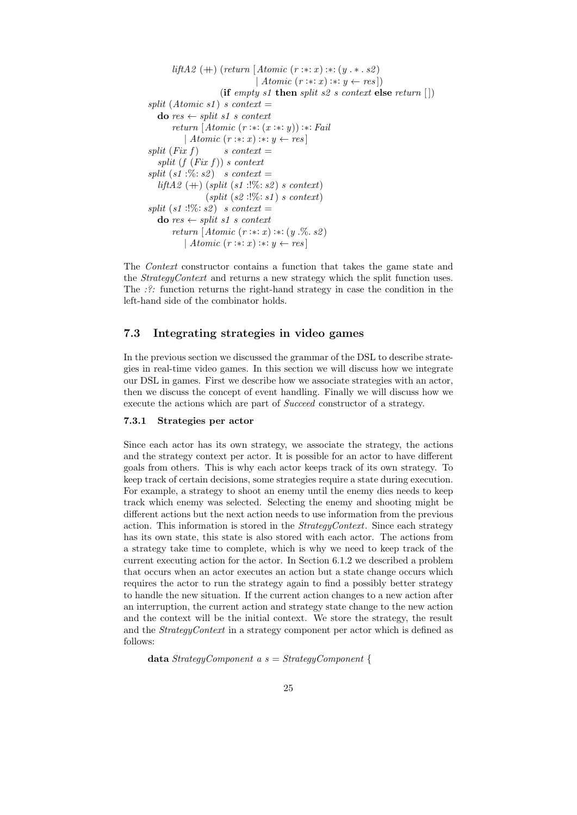```
liftA2 (++) (return [Atomic (r :: x) :: (y . * . s2))
                                | Atomic (r : * : x) : * : y \leftarrow res]
                     (if empty s1 then split s2 s context else return \vert\vert)
split (Atomic s1) s context =\mathbf{do} \text{ } res \leftarrow split \text{ } s1 \text{ } s \text{ } contextreturn [Atomic (r :: x : (x :: x)) :: 'Fail]| Atomic (r : * : x) : * : y \leftarrow ressplit (Fix f) s context =
  split (f (Fix f)) s context
split (s1:\%: s2) s context =
  liftA2 (+) (split (s1:!) \%: s2) s context)(split (s2:!\%: s1) s context)
split (s1:!\%; s2) s context =
  do res \leftarrow split\ s1\ s\ contextreturn [Atomic (r : * : x) : * : (y . \% . s2)]| Atomic (r : * : x) : * : y \leftarrow res
```
The Context constructor contains a function that takes the game state and the StrategyContext and returns a new strategy which the split function uses. The :?: function returns the right-hand strategy in case the condition in the left-hand side of the combinator holds.

# 7.3 Integrating strategies in video games

In the previous section we discussed the grammar of the DSL to describe strategies in real-time video games. In this section we will discuss how we integrate our DSL in games. First we describe how we associate strategies with an actor, then we discuss the concept of event handling. Finally we will discuss how we execute the actions which are part of Succeed constructor of a strategy.

#### 7.3.1 Strategies per actor

Since each actor has its own strategy, we associate the strategy, the actions and the strategy context per actor. It is possible for an actor to have different goals from others. This is why each actor keeps track of its own strategy. To keep track of certain decisions, some strategies require a state during execution. For example, a strategy to shoot an enemy until the enemy dies needs to keep track which enemy was selected. Selecting the enemy and shooting might be different actions but the next action needs to use information from the previous action. This information is stored in the *StrategyContext*. Since each strategy has its own state, this state is also stored with each actor. The actions from a strategy take time to complete, which is why we need to keep track of the current executing action for the actor. In Section 6.1.2 we described a problem that occurs when an actor executes an action but a state change occurs which requires the actor to run the strategy again to find a possibly better strategy to handle the new situation. If the current action changes to a new action after an interruption, the current action and strategy state change to the new action and the context will be the initial context. We store the strategy, the result and the StrategyContext in a strategy component per actor which is defined as follows:

data  $StrategyComponent \ a \ s = StrategyComponent \ \{$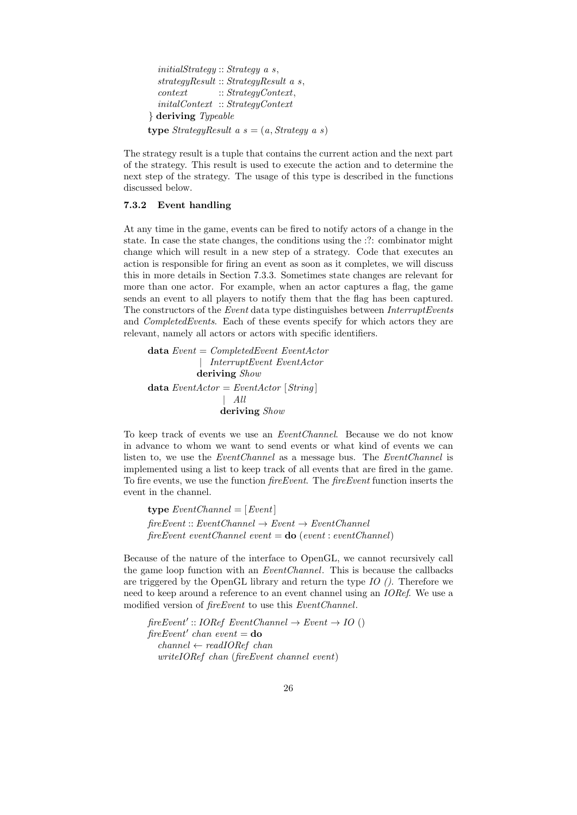```
initialStrategy :: Strategy a s,
  strategyResult :: StrategyResult a s,
  context :: StrategyContext,
  initalContext :: StrategyContext
} deriving Typeable
type StrategyResult a s = (a, Strategy a s)
```
The strategy result is a tuple that contains the current action and the next part of the strategy. This result is used to execute the action and to determine the next step of the strategy. The usage of this type is described in the functions discussed below.

# 7.3.2 Event handling

At any time in the game, events can be fired to notify actors of a change in the state. In case the state changes, the conditions using the :?: combinator might change which will result in a new step of a strategy. Code that executes an action is responsible for firing an event as soon as it completes, we will discuss this in more details in Section 7.3.3. Sometimes state changes are relevant for more than one actor. For example, when an actor captures a flag, the game sends an event to all players to notify them that the flag has been captured. The constructors of the *Event* data type distinguishes between *InterruptEvents* and CompletedEvents. Each of these events specify for which actors they are relevant, namely all actors or actors with specific identifiers.

data  $Event = CompletedEvent$  EventActor | InterruptEvent EventActor deriving Show data  $EventActor = EventActor$  [String] | All deriving Show

To keep track of events we use an EventChannel. Because we do not know in advance to whom we want to send events or what kind of events we can listen to, we use the EventChannel as a message bus. The EventChannel is implemented using a list to keep track of all events that are fired in the game. To fire events, we use the function fireEvent. The fireEvent function inserts the event in the channel.

type  $EventChannel = [Event]$  $fireEvent :: EventChannel \rightarrow Event \rightarrow EventChannel$  $fireEvent eventChannel event = do (event: eventChannel)$ 

Because of the nature of the interface to OpenGL, we cannot recursively call the game loop function with an EventChannel. This is because the callbacks are triggered by the OpenGL library and return the type  $IO$  (). Therefore we need to keep around a reference to an event channel using an IORef. We use a modified version of *fireEvent* to use this *EventChannel*.

 $\text{freeEvent}': \text{IORef} \text{EventChannel} \rightarrow \text{Event} \rightarrow \text{IO}$  ()  $fireEvent'$  chan event = do  $channel \leftarrow readIORef \ chan$ writeIORef chan (fireEvent channel event)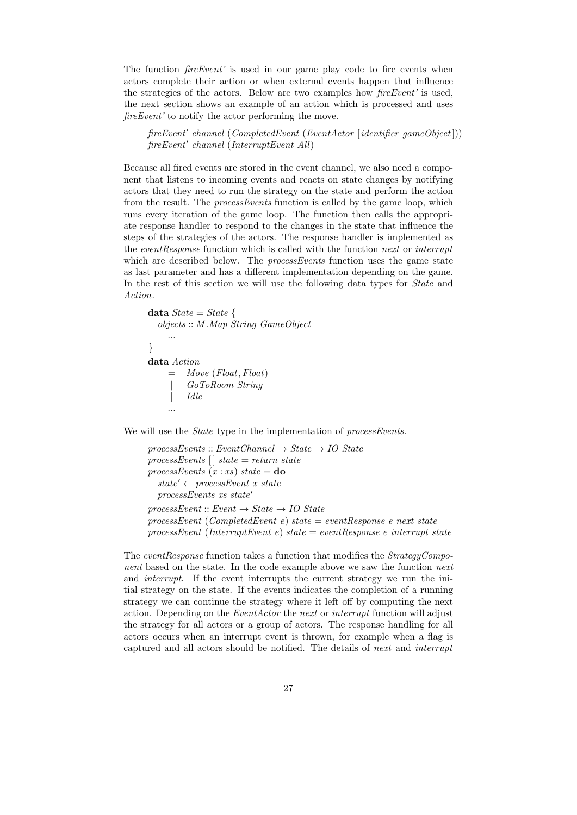The function *fireEvent'* is used in our game play code to fire events when actors complete their action or when external events happen that influence the strategies of the actors. Below are two examples how fireEvent' is used, the next section shows an example of an action which is processed and uses fireEvent' to notify the actor performing the move.

fireEvent' channel (CompletedEvent (EventActor [identifier gameObject])) fireEvent' channel (InterruptEvent All)

Because all fired events are stored in the event channel, we also need a component that listens to incoming events and reacts on state changes by notifying actors that they need to run the strategy on the state and perform the action from the result. The *processEvents* function is called by the game loop, which runs every iteration of the game loop. The function then calls the appropriate response handler to respond to the changes in the state that influence the steps of the strategies of the actors. The response handler is implemented as the eventResponse function which is called with the function next or interrupt which are described below. The *processEvents* function uses the game state as last parameter and has a different implementation depending on the game. In the rest of this section we will use the following data types for *State* and Action.

```
data State = State \{objects :: M .Map String GameObject
     ...
}
data Action
    = Move (Float, Float)
         | GoToRoom String
         | Idle
    ...
```
We will use the *State* type in the implementation of *processEvents*.

```
processEvents :: EventChannel \rightarrow State \rightarrow IO StateprocessEvents [ state = return state
processEvents (x:xs) state = do
  state' \leftarrow processEvent \; x \; stateprocessEvents xs state'processEvent :: Event \rightarrow State \rightarrow IO StateprocessEvent (CompletedEvent e) state = eventResponse e next state
processEvent (InterruptEvent e) state = eventResponse e interrupt state
```
The eventResponse function takes a function that modifies the StrategyComponent based on the state. In the code example above we saw the function next and interrupt. If the event interrupts the current strategy we run the initial strategy on the state. If the events indicates the completion of a running strategy we can continue the strategy where it left off by computing the next action. Depending on the *EventActor* the next or interrupt function will adjust the strategy for all actors or a group of actors. The response handling for all actors occurs when an interrupt event is thrown, for example when a flag is captured and all actors should be notified. The details of next and interrupt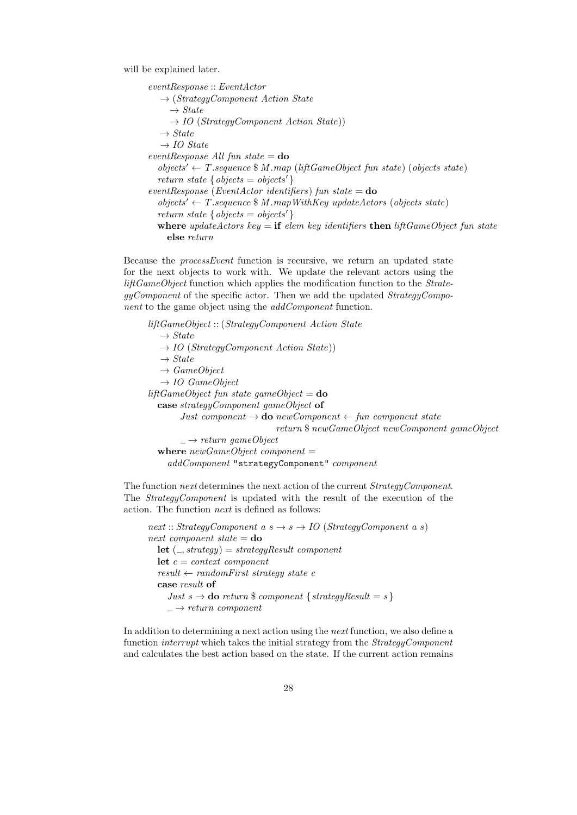will be explained later.

eventResponse :: EventActor  $\rightarrow$  (StrategyComponent Action State  $\rightarrow State$  $\rightarrow$  *IO* (*StrategyComponent Action State*))  $\rightarrow State$  $\rightarrow$  IO State  $eventResponse$  All fun state =  $do$  $objects' \leftarrow T.\nsequence \$ M.\nmap (liftGameObject \, fun \, state) \, (objects \, state)$ return state {  $objects = objects'$  }  $eventResponse$  (EventActor identifiers) fun state =  $do$  $objects' \leftarrow T.\nsequence \$ M.\nmapWithKey \nupdateActors (objects state)$ return state {  $objects = objects'$  } where updateActors key  $=$  if elem key identifiers then liftGameObject fun state else return

Because the processEvent function is recursive, we return an updated state for the next objects to work with. We update the relevant actors using the liftGameObject function which applies the modification function to the StrategyComponent of the specific actor. Then we add the updated StrategyComponent to the game object using the *addComponent* function.

liftGameObject :: (StrategyComponent Action State  $\rightarrow State$  $\rightarrow$  IO (StrategyComponent Action State))  $\rightarrow State$  $\rightarrow$  GameObject  $\rightarrow$  IO GameObject liftGameObject fun state gameObject =  $d\mathbf{o}$ case strategyComponent gameObject of Just component  $\rightarrow$  do newComponent  $\leftarrow$  fun component state return \$ newGameObject newComponent gameObject  $\rightarrow$  return gameObject where  $newGameObject$  component = addComponent "strategyComponent" component

The function *next* determines the next action of the current *StrategyComponent*. The StrategyComponent is updated with the result of the execution of the action. The function next is defined as follows:

next :: StrategyComponent a  $s \rightarrow s \rightarrow IO$  (StrategyComponent a s) next component state  $=$  do let  $($ , strategy $)$  = strategy $Result$  component let  $c = context\ component$  $result \leftarrow randomFirst strategy state c$ case result of Just  $s \to$  do return \$ component { strategyResult = s }  $\rightarrow$  return component

In addition to determining a next action using the next function, we also define a function interrupt which takes the initial strategy from the StrategyComponent and calculates the best action based on the state. If the current action remains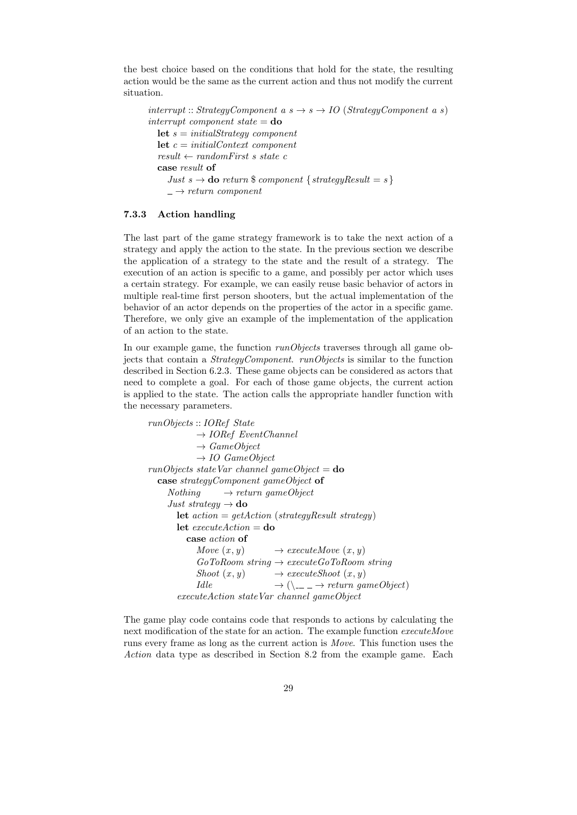the best choice based on the conditions that hold for the state, the resulting action would be the same as the current action and thus not modify the current situation.

interrupt :: StrategyComponent a  $s \rightarrow s \rightarrow IO$  (StrategyComponent a s) interrupt component state  $=$  do **let**  $s = initialStrategy component$ let  $c = initialContext$  component  $result \leftarrow randomFirst \ s \ state \ c$ case result of Just  $s \to$  do return \$ component { strategyResult = s}  $\rightarrow$  return component

#### 7.3.3 Action handling

The last part of the game strategy framework is to take the next action of a strategy and apply the action to the state. In the previous section we describe the application of a strategy to the state and the result of a strategy. The execution of an action is specific to a game, and possibly per actor which uses a certain strategy. For example, we can easily reuse basic behavior of actors in multiple real-time first person shooters, but the actual implementation of the behavior of an actor depends on the properties of the actor in a specific game. Therefore, we only give an example of the implementation of the application of an action to the state.

In our example game, the function *runObjects* traverses through all game objects that contain a StrategyComponent. runObjects is similar to the function described in Section 6.2.3. These game objects can be considered as actors that need to complete a goal. For each of those game objects, the current action is applied to the state. The action calls the appropriate handler function with the necessary parameters.

```
runObjects :: IORef State
            \rightarrow IORef EventChannel
            \rightarrow GameObject
            \rightarrow IO GameObject
runObjects\ stateVar\ channel\ gameObject =do
  case strategyComponent gameObject of
    Nothing \rightarrow return \ gameObjectJust strategy \rightarrow do
      let action = getAction (strategyResult strategy)let executeAction =do
         case action of
            Move (x, y) \rightarrow executeMove(x, y)GoToRoom string \rightarrow executeGoToRoom stringShoot (x, y) \rightarrow executeShow(x, y)Idle \rightarrow (\searrow - \rightarrow return \text{ gameObject})executeAction stateVar channel gameObject
```
The game play code contains code that responds to actions by calculating the next modification of the state for an action. The example function executeMove runs every frame as long as the current action is Move. This function uses the Action data type as described in Section 8.2 from the example game. Each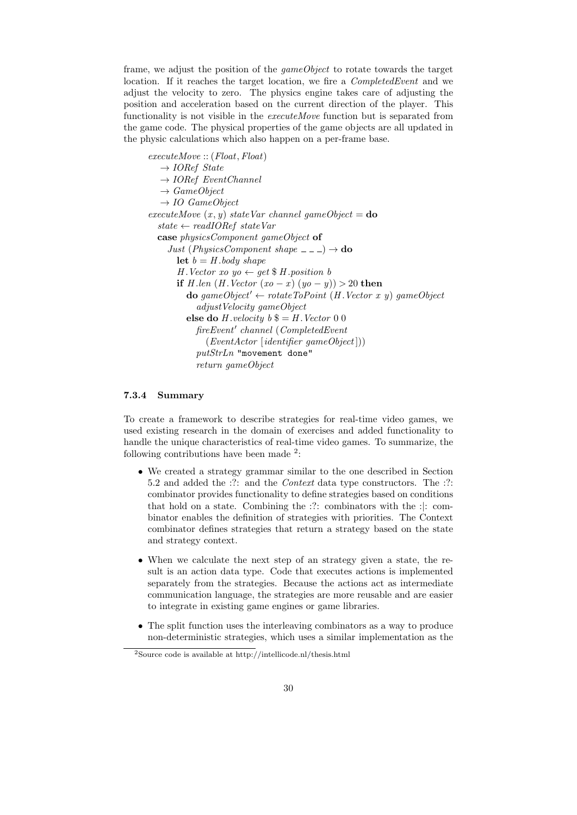frame, we adjust the position of the gameObject to rotate towards the target location. If it reaches the target location, we fire a *CompletedEvent* and we adjust the velocity to zero. The physics engine takes care of adjusting the position and acceleration based on the current direction of the player. This functionality is not visible in the executeMove function but is separated from the game code. The physical properties of the game objects are all updated in the physic calculations which also happen on a per-frame base.

executeMove :: (Float, Float)  $\rightarrow$  IORef State  $\rightarrow$  IORef EventChannel  $\rightarrow$  GameObject  $\rightarrow$  IO GameObject executeMove  $(x, y)$  stateVar channel gameObject =  $d\mathbf{o}$  $state \leftarrow readIORef stateVar$ case physicsComponent gameObject of Just (PhysicsComponent shape  $\sqrt{-1} \rightarrow$  do let  $b = H$  body shape H. Vector xo yo  $\leftarrow$  get \$ H. position b if H .len  $(H$  . Vector  $(xo - x) (yo - y)) > 20$  then **do** gameObject'  $\leftarrow$  rotateToPoint (H.Vector x y) gameObject adjustVelocity gameObject else do H. velocity  $b \$  $=$  H. Vector 0 0 fireEvent' channel (CompletedEvent  $(Event Actor [identity] \cdot gameObject])$ putStrLn "movement done" return gameObject

#### 7.3.4 Summary

To create a framework to describe strategies for real-time video games, we used existing research in the domain of exercises and added functionality to handle the unique characteristics of real-time video games. To summarize, the following contributions have been made  $2$ :

- We created a strategy grammar similar to the one described in Section 5.2 and added the :?: and the *Context* data type constructors. The :?: combinator provides functionality to define strategies based on conditions that hold on a state. Combining the :?: combinators with the :|: combinator enables the definition of strategies with priorities. The Context combinator defines strategies that return a strategy based on the state and strategy context.
- When we calculate the next step of an strategy given a state, the result is an action data type. Code that executes actions is implemented separately from the strategies. Because the actions act as intermediate communication language, the strategies are more reusable and are easier to integrate in existing game engines or game libraries.
- The split function uses the interleaving combinators as a way to produce non-deterministic strategies, which uses a similar implementation as the

<sup>2</sup>Source code is available at http://intellicode.nl/thesis.html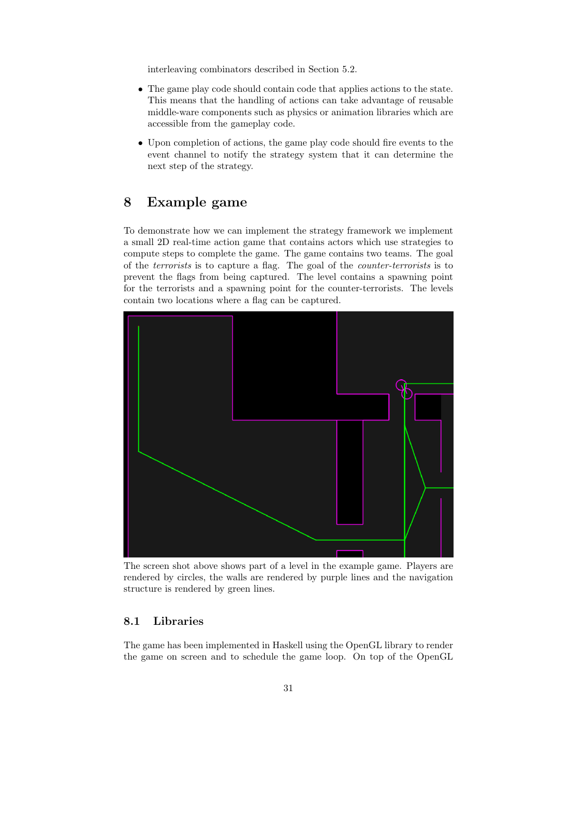interleaving combinators described in Section 5.2.

- The game play code should contain code that applies actions to the state. This means that the handling of actions can take advantage of reusable middle-ware components such as physics or animation libraries which are accessible from the gameplay code.
- Upon completion of actions, the game play code should fire events to the event channel to notify the strategy system that it can determine the next step of the strategy.

# 8 Example game

To demonstrate how we can implement the strategy framework we implement a small 2D real-time action game that contains actors which use strategies to compute steps to complete the game. The game contains two teams. The goal of the terrorists is to capture a flag. The goal of the counter-terrorists is to prevent the flags from being captured. The level contains a spawning point for the terrorists and a spawning point for the counter-terrorists. The levels contain two locations where a flag can be captured.



The screen shot above shows part of a level in the example game. Players are rendered by circles, the walls are rendered by purple lines and the navigation structure is rendered by green lines.

# 8.1 Libraries

The game has been implemented in Haskell using the OpenGL library to render the game on screen and to schedule the game loop. On top of the OpenGL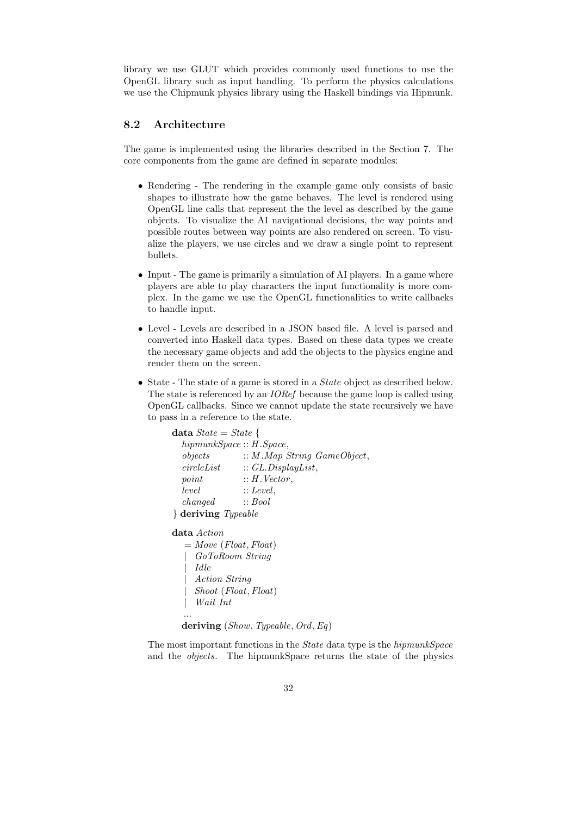library we use GLUT which provides commonly used functions to use the OpenGL library such as input handling. To perform the physics calculations we use the Chipmunk physics library using the Haskell bindings via Hipmunk.

# 8.2 Architecture

The game is implemented using the libraries described in the Section 7. The core components from the game are defined in separate modules:

- Rendering The rendering in the example game only consists of basic shapes to illustrate how the game behaves. The level is rendered using OpenGL line calls that represent the the level as described by the game objects. To visualize the AI navigational decisions, the way points and possible routes between way points are also rendered on screen. To visualize the players, we use circles and we draw a single point to represent bullets.
- Input The game is primarily a simulation of AI players. In a game where players are able to play characters the input functionality is more complex. In the game we use the OpenGL functionalities to write callbacks to handle input.
- Level Levels are described in a JSON based file. A level is parsed and converted into Haskell data types. Based on these data types we create the necessary game objects and add the objects to the physics engine and render them on the screen.
- State The state of a game is stored in a *State* object as described below. The state is referenced by an *IORef* because the game loop is called using OpenGL callbacks. Since we cannot update the state recursively we have to pass in a reference to the state.

```
data State = State \{hipmunkSpace :: H.Space,
  objects \qquad :: M. Map String GameObject,circleList :: GL.DisplayList,
  point :: H. Vector,
  level. :: Level,
  changed :: Bool
} deriving Typeable
data Action
  = Move (Float, float)| GoToRoom String
     | Idle
     | Action String
     | Shoot (Float, Float)
     | Wait Int
  ...
  deriving (Show, Typeable, Ord, Eq)
```
The most important functions in the State data type is the hipmunkSpace and the objects. The hipmunkSpace returns the state of the physics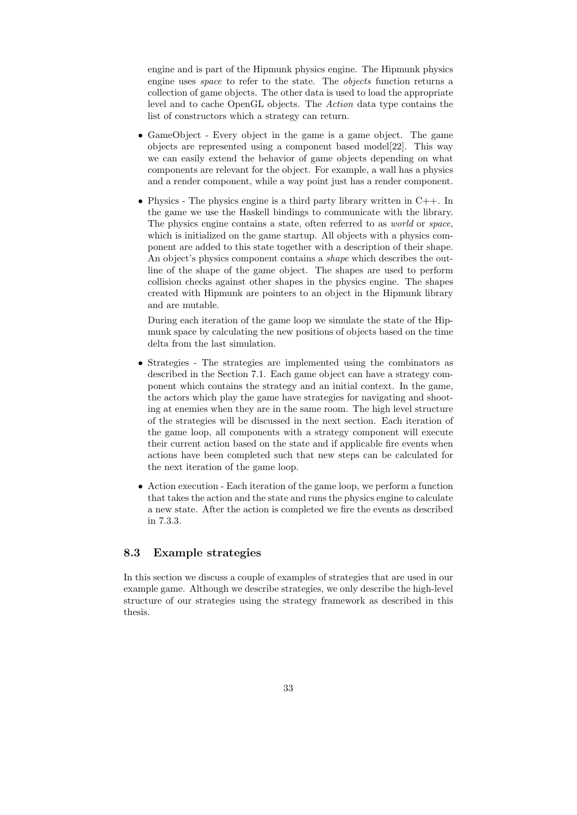engine and is part of the Hipmunk physics engine. The Hipmunk physics engine uses space to refer to the state. The objects function returns a collection of game objects. The other data is used to load the appropriate level and to cache OpenGL objects. The Action data type contains the list of constructors which a strategy can return.

- GameObject Every object in the game is a game object. The game objects are represented using a component based model[22]. This way we can easily extend the behavior of game objects depending on what components are relevant for the object. For example, a wall has a physics and a render component, while a way point just has a render component.
- Physics The physics engine is a third party library written in  $C_{++}$ . In the game we use the Haskell bindings to communicate with the library. The physics engine contains a state, often referred to as world or space, which is initialized on the game startup. All objects with a physics component are added to this state together with a description of their shape. An object's physics component contains a shape which describes the outline of the shape of the game object. The shapes are used to perform collision checks against other shapes in the physics engine. The shapes created with Hipmunk are pointers to an object in the Hipmunk library and are mutable.

During each iteration of the game loop we simulate the state of the Hipmunk space by calculating the new positions of objects based on the time delta from the last simulation.

- Strategies The strategies are implemented using the combinators as described in the Section 7.1. Each game object can have a strategy component which contains the strategy and an initial context. In the game, the actors which play the game have strategies for navigating and shooting at enemies when they are in the same room. The high level structure of the strategies will be discussed in the next section. Each iteration of the game loop, all components with a strategy component will execute their current action based on the state and if applicable fire events when actions have been completed such that new steps can be calculated for the next iteration of the game loop.
- Action execution Each iteration of the game loop, we perform a function that takes the action and the state and runs the physics engine to calculate a new state. After the action is completed we fire the events as described in 7.3.3.

## 8.3 Example strategies

In this section we discuss a couple of examples of strategies that are used in our example game. Although we describe strategies, we only describe the high-level structure of our strategies using the strategy framework as described in this thesis.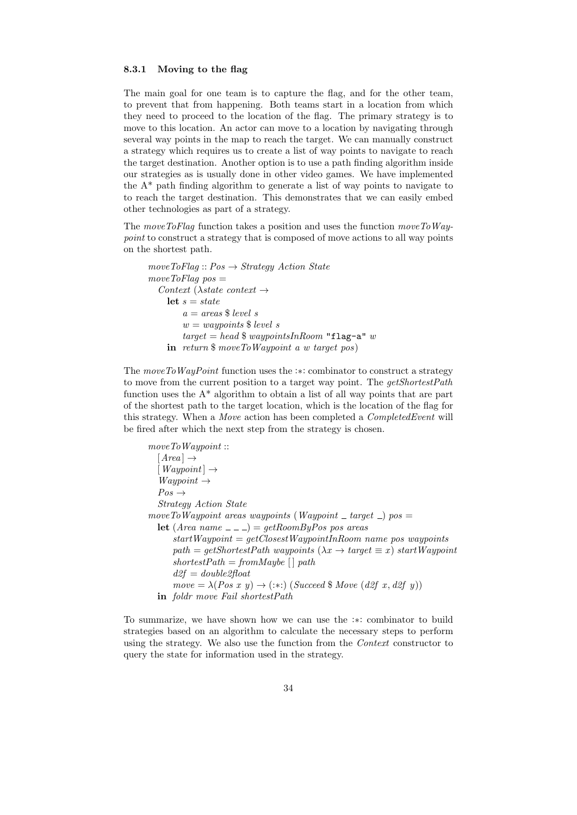#### 8.3.1 Moving to the flag

The main goal for one team is to capture the flag, and for the other team, to prevent that from happening. Both teams start in a location from which they need to proceed to the location of the flag. The primary strategy is to move to this location. An actor can move to a location by navigating through several way points in the map to reach the target. We can manually construct a strategy which requires us to create a list of way points to navigate to reach the target destination. Another option is to use a path finding algorithm inside our strategies as is usually done in other video games. We have implemented the  $A^*$  path finding algorithm to generate a list of way points to navigate to to reach the target destination. This demonstrates that we can easily embed other technologies as part of a strategy.

The moveToFlag function takes a position and uses the function moveToWaypoint to construct a strategy that is composed of move actions to all way points on the shortest path.

```
move ToFlag :: Pos \rightarrow Strategy Action Statemove ToFlag pos =Context (\lambdastate context \rightarrowlet s = statea = \text{areas }$ level s
        w = waypoints $ level s
        target = head $ waypointsInRoom "flag-a" w
    in return $ moveToWaypoint a w target pos)
```
The moveToWayPoint function uses the :∗: combinator to construct a strategy to move from the current position to a target way point. The *qetShortestPath* function uses the  $A^*$  algorithm to obtain a list of all way points that are part of the shortest path to the target location, which is the location of the flag for this strategy. When a Move action has been completed a CompletedEvent will be fired after which the next step from the strategy is chosen.

moveToWaypoint ::  $[Area] \rightarrow$  $[Waypoint] \rightarrow$  $Waypoint \rightarrow$  $Pos \rightarrow$ Strategy Action State  $move To Way point \ a reas \ way points (Way point \_ target \_) \ pos =$ let  $(Area name \nightharpoonup) = getRoomByPos pos areas$  $startWaypoint = getClosetWaypointInRoom name pos waypoints$  $path = getShortestPath$  waypoints  $(\lambda x \rightarrow target \equiv x)$  startWaypoint  $shortestPath = from Maybe \{ | \ path$  $d2f = double2float$  $move = \lambda (Pos x y) \rightarrow (:,:) (Succeed \$ Move (d2f x, d2f y))$ in foldr move Fail shortestPath

To summarize, we have shown how we can use the :∗: combinator to build strategies based on an algorithm to calculate the necessary steps to perform using the strategy. We also use the function from the *Context* constructor to query the state for information used in the strategy.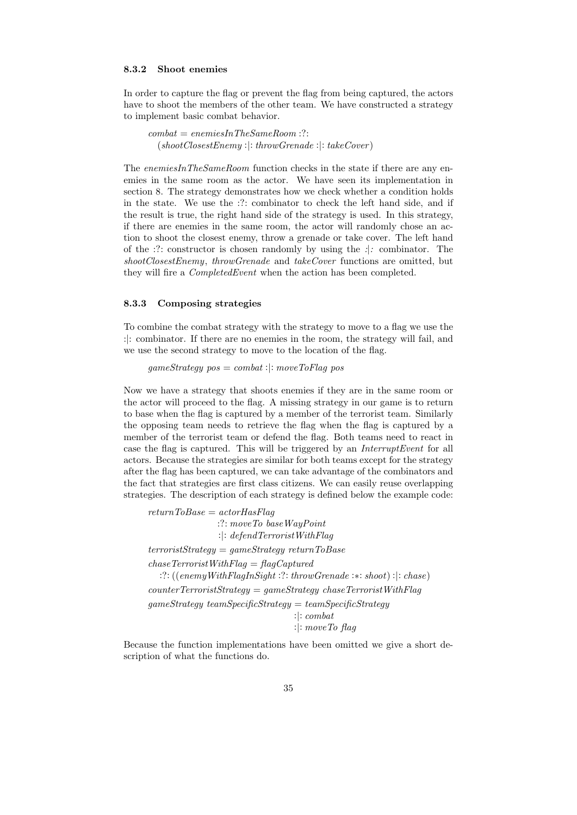#### 8.3.2 Shoot enemies

In order to capture the flag or prevent the flag from being captured, the actors have to shoot the members of the other team. We have constructed a strategy to implement basic combat behavior.

 $\mathit{combat} = \mathit{enemiesInTheSameRoom}$  :?:  $(shootClosestEnemy:]: throwGrenade:': takeCover)$ 

The enemiesInTheSameRoom function checks in the state if there are any enemies in the same room as the actor. We have seen its implementation in section 8. The strategy demonstrates how we check whether a condition holds in the state. We use the :?: combinator to check the left hand side, and if the result is true, the right hand side of the strategy is used. In this strategy, if there are enemies in the same room, the actor will randomly chose an action to shoot the closest enemy, throw a grenade or take cover. The left hand of the :?: constructor is chosen randomly by using the :|: combinator. The shootClosestEnemy, throwGrenade and takeCover functions are omitted, but they will fire a CompletedEvent when the action has been completed.

#### 8.3.3 Composing strategies

To combine the combat strategy with the strategy to move to a flag we use the :|: combinator. If there are no enemies in the room, the strategy will fail, and we use the second strategy to move to the location of the flag.

 $gameStrategy\ pos = combat: \mid: moveToFlag\ pos$ 

Now we have a strategy that shoots enemies if they are in the same room or the actor will proceed to the flag. A missing strategy in our game is to return to base when the flag is captured by a member of the terrorist team. Similarly the opposing team needs to retrieve the flag when the flag is captured by a member of the terrorist team or defend the flag. Both teams need to react in case the flag is captured. This will be triggered by an InterruptEvent for all actors. Because the strategies are similar for both teams except for the strategy after the flag has been captured, we can take advantage of the combinators and the fact that strategies are first class citizens. We can easily reuse overlapping strategies. The description of each strategy is defined below the example code:

 $return ToBase = actorHasFlag$ :?: moveTo baseWayPoint :|: defendTerroristWithFlag  $terroristStrategy = gameStrategy return ToBase$  $chaseT error is tWithFlag = flagCaptured$ :?: ((enemyWithFlagInSight :?: throwGrenade :∗: shoot) :|: chase)  $counterTerroristStrategy = gameStrategy \; chose TerroristWithFlag$  $gameStrategy\ teamSpecificStrategy = teamSpecificStrategy$ :|: combat :|: moveTo flag

Because the function implementations have been omitted we give a short description of what the functions do.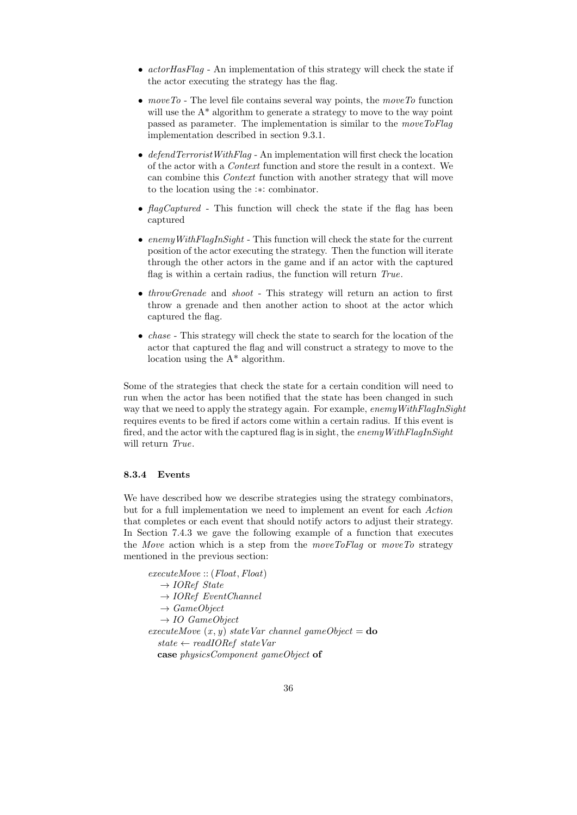- $actorHasFlag$  An implementation of this strategy will check the state if the actor executing the strategy has the flag.
- move To The level file contains several way points, the move To function will use the  $A^*$  algorithm to generate a strategy to move to the way point passed as parameter. The implementation is similar to the moveToFlag implementation described in section 9.3.1.
- defend  $TerroristWithFlag$  An implementation will first check the location of the actor with a Context function and store the result in a context. We can combine this Context function with another strategy that will move to the location using the :∗: combinator.
- flagCaptured This function will check the state if the flag has been captured
- enemy With  $FlagInSignt$  This function will check the state for the current position of the actor executing the strategy. Then the function will iterate through the other actors in the game and if an actor with the captured flag is within a certain radius, the function will return True.
- *throwGrenade* and *shoot* This strategy will return an action to first throw a grenade and then another action to shoot at the actor which captured the flag.
- *chase* This strategy will check the state to search for the location of the actor that captured the flag and will construct a strategy to move to the location using the A\* algorithm.

Some of the strategies that check the state for a certain condition will need to run when the actor has been notified that the state has been changed in such way that we need to apply the strategy again. For example, enemy WithFlagInSight requires events to be fired if actors come within a certain radius. If this event is fired, and the actor with the captured flag is in sight, the enemy With  $FlagInSight$ will return True.

#### 8.3.4 Events

We have described how we describe strategies using the strategy combinators, but for a full implementation we need to implement an event for each Action that completes or each event that should notify actors to adjust their strategy. In Section 7.4.3 we gave the following example of a function that executes the Move action which is a step from the moveToFlag or moveTo strategy mentioned in the previous section:

executeMove :: (Float, Float)  $\rightarrow$  IORef State  $\rightarrow$  IORef EventChannel  $\rightarrow$  GameObject  $\rightarrow$  IO GameObject executeMove  $(x, y)$  stateVar channel gameObject = do  $state \leftarrow readIORef stateVar$ case physicsComponent gameObject of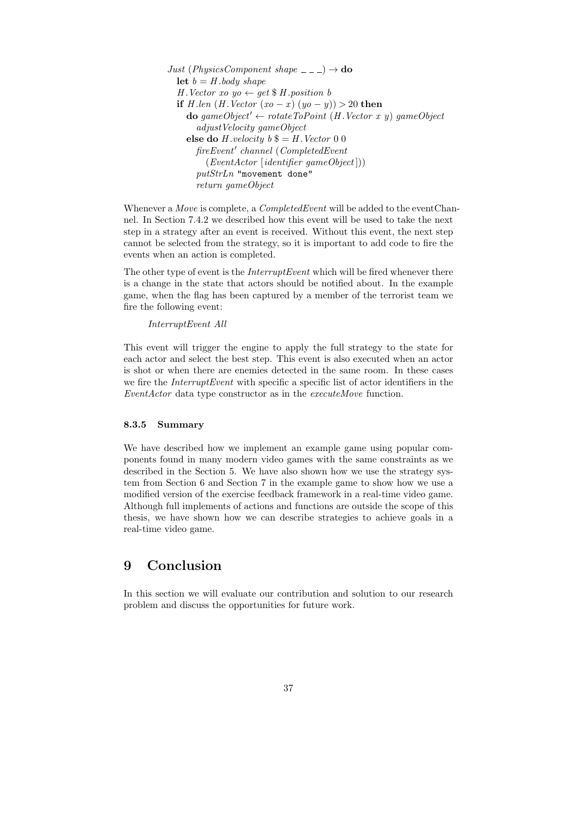```
Just (PhysicsComponent shape = - \rightarrow do
  let b = H body shape
  H. Vector xo yo \leftarrow get $ H. position b
  if H .len (H . Vector (xo - x) (yo - y)) > 20 then
     \bf{do} \; \textit{gameObject}' \leftarrow \textit{rotateToPoint} \; (H.\textit{Vector} \; x \; y) \; \textit{gameObject}adjustVelocity gameObject
     else do H. velocity b \= H. Vector 0 0
        fireEvent' channel (CompletedEvent
          (Event Actor [identity] \cdot gameObject])putStrLn "movement done"
        return gameObject
```
Whenever a *Move* is complete, a *CompletedEvent* will be added to the eventChannel. In Section 7.4.2 we described how this event will be used to take the next step in a strategy after an event is received. Without this event, the next step cannot be selected from the strategy, so it is important to add code to fire the events when an action is completed.

The other type of event is the *InterruptEvent* which will be fired whenever there is a change in the state that actors should be notified about. In the example game, when the flag has been captured by a member of the terrorist team we fire the following event:

InterruptEvent All

This event will trigger the engine to apply the full strategy to the state for each actor and select the best step. This event is also executed when an actor is shot or when there are enemies detected in the same room. In these cases we fire the *InterruptEvent* with specific a specific list of actor identifiers in the EventActor data type constructor as in the executeMove function.

#### 8.3.5 Summary

We have described how we implement an example game using popular components found in many modern video games with the same constraints as we described in the Section 5. We have also shown how we use the strategy system from Section 6 and Section 7 in the example game to show how we use a modified version of the exercise feedback framework in a real-time video game. Although full implements of actions and functions are outside the scope of this thesis, we have shown how we can describe strategies to achieve goals in a real-time video game.

# 9 Conclusion

In this section we will evaluate our contribution and solution to our research problem and discuss the opportunities for future work.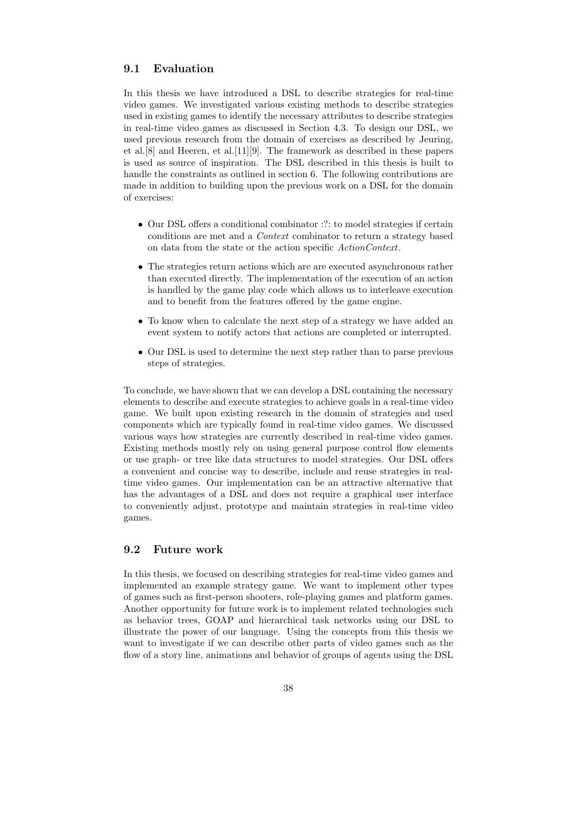# 9.1 Evaluation

In this thesis we have introduced a DSL to describe strategies for real-time video games. We investigated various existing methods to describe strategies used in existing games to identify the necessary attributes to describe strategies in real-time video games as discussed in Section 4.3. To design our DSL, we used previous research from the domain of exercises as described by Jeuring, et al.[8] and Heeren, et al.[11][9]. The framework as described in these papers is used as source of inspiration. The DSL described in this thesis is built to handle the constraints as outlined in section 6. The following contributions are made in addition to building upon the previous work on a DSL for the domain of exercises:

- Our DSL offers a conditional combinator :?: to model strategies if certain conditions are met and a Context combinator to return a strategy based on data from the state or the action specific ActionContext.
- The strategies return actions which are are executed asynchronous rather than executed directly. The implementation of the execution of an action is handled by the game play code which allows us to interleave execution and to benefit from the features offered by the game engine.
- To know when to calculate the next step of a strategy we have added an event system to notify actors that actions are completed or interrupted.
- Our DSL is used to determine the next step rather than to parse previous steps of strategies.

To conclude, we have shown that we can develop a DSL containing the necessary elements to describe and execute strategies to achieve goals in a real-time video game. We built upon existing research in the domain of strategies and used components which are typically found in real-time video games. We discussed various ways how strategies are currently described in real-time video games. Existing methods mostly rely on using general purpose control flow elements or use graph- or tree like data structures to model strategies. Our DSL offers a convenient and concise way to describe, include and reuse strategies in realtime video games. Our implementation can be an attractive alternative that has the advantages of a DSL and does not require a graphical user interface to conveniently adjust, prototype and maintain strategies in real-time video games.

# 9.2 Future work

In this thesis, we focused on describing strategies for real-time video games and implemented an example strategy game. We want to implement other types of games such as first-person shooters, role-playing games and platform games. Another opportunity for future work is to implement related technologies such as behavior trees, GOAP and hierarchical task networks using our DSL to illustrate the power of our language. Using the concepts from this thesis we want to investigate if we can describe other parts of video games such as the flow of a story line, animations and behavior of groups of agents using the DSL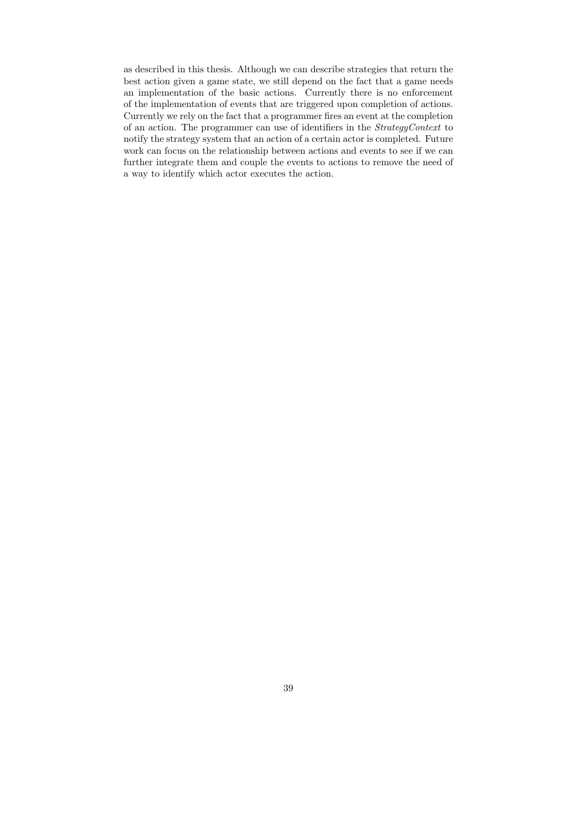as described in this thesis. Although we can describe strategies that return the best action given a game state, we still depend on the fact that a game needs an implementation of the basic actions. Currently there is no enforcement of the implementation of events that are triggered upon completion of actions. Currently we rely on the fact that a programmer fires an event at the completion of an action. The programmer can use of identifiers in the StrategyContext to notify the strategy system that an action of a certain actor is completed. Future work can focus on the relationship between actions and events to see if we can further integrate them and couple the events to actions to remove the need of a way to identify which actor executes the action.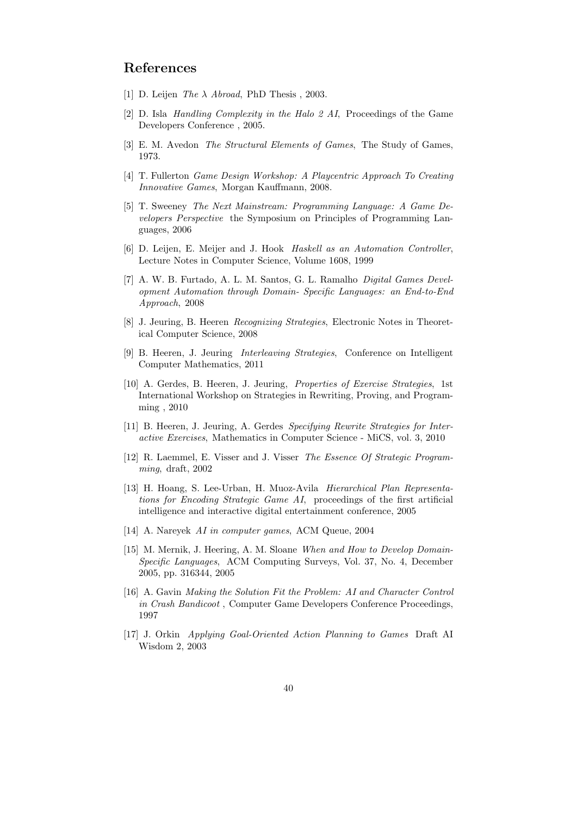# References

- [1] D. Leijen The  $\lambda$  Abroad, PhD Thesis, 2003.
- [2] D. Isla Handling Complexity in the Halo 2 AI, Proceedings of the Game Developers Conference , 2005.
- [3] E. M. Avedon The Structural Elements of Games, The Study of Games, 1973.
- [4] T. Fullerton Game Design Workshop: A Playcentric Approach To Creating Innovative Games, Morgan Kauffmann, 2008.
- [5] T. Sweeney The Next Mainstream: Programming Language: A Game Developers Perspective the Symposium on Principles of Programming Languages, 2006
- [6] D. Leijen, E. Meijer and J. Hook Haskell as an Automation Controller, Lecture Notes in Computer Science, Volume 1608, 1999
- [7] A. W. B. Furtado, A. L. M. Santos, G. L. Ramalho Digital Games Development Automation through Domain- Specific Languages: an End-to-End Approach, 2008
- [8] J. Jeuring, B. Heeren Recognizing Strategies, Electronic Notes in Theoretical Computer Science, 2008
- [9] B. Heeren, J. Jeuring Interleaving Strategies, Conference on Intelligent Computer Mathematics, 2011
- [10] A. Gerdes, B. Heeren, J. Jeuring, Properties of Exercise Strategies, 1st International Workshop on Strategies in Rewriting, Proving, and Programming , 2010
- [11] B. Heeren, J. Jeuring, A. Gerdes Specifying Rewrite Strategies for Interactive Exercises, Mathematics in Computer Science - MiCS, vol. 3, 2010
- [12] R. Laemmel, E. Visser and J. Visser The Essence Of Strategic Programming, draft, 2002
- [13] H. Hoang, S. Lee-Urban, H. Muoz-Avila Hierarchical Plan Representations for Encoding Strategic Game AI, proceedings of the first artificial intelligence and interactive digital entertainment conference, 2005
- [14] A. Nareyek AI in computer games, ACM Queue, 2004
- [15] M. Mernik, J. Heering, A. M. Sloane When and How to Develop Domain-Specific Languages, ACM Computing Surveys, Vol. 37, No. 4, December 2005, pp. 316344, 2005
- [16] A. Gavin Making the Solution Fit the Problem: AI and Character Control in Crash Bandicoot , Computer Game Developers Conference Proceedings, 1997
- [17] J. Orkin Applying Goal-Oriented Action Planning to Games Draft AI Wisdom 2, 2003